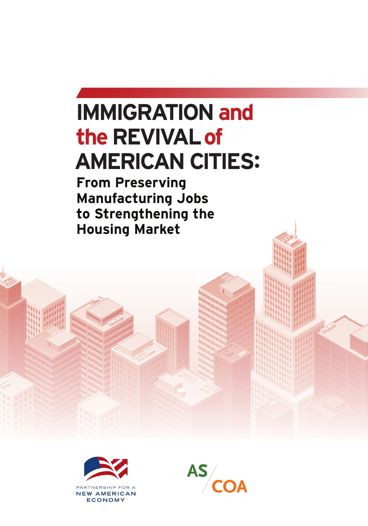# **IMMIGRATION and the Revival of AMERICAN CITIES:**

**From Preserving Manufacturing Jobs to Strengthening the Housing Market**



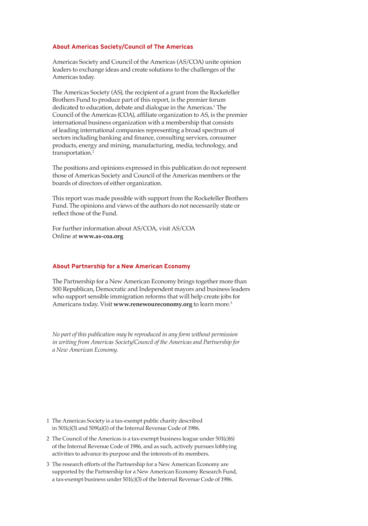#### **About Americas Society/Council of The Americas**

Americas Society and Council of the Americas (AS/COA) unite opinion leaders to exchange ideas and create solutions to the challenges of the Americas today.

The Americas Society (AS), the recipient of a grant from the Rockefeller Brothers Fund to produce part of this report, is the premier forum dedicated to education, debate and dialogue in the Americas.<sup>1</sup> The Council of the Americas (COA), affiliate organization to AS, is the premier international business organization with a membership that consists of leading international companies representing a broad spectrum of sectors including banking and finance, consulting services, consumer products, energy and mining, manufacturing, media, technology, and transportation.<sup>2</sup>

The positions and opinions expressed in this publication do not represent those of Americas Society and Council of the Americas members or the boards of directors of either organization.

This report was made possible with support from the Rockefeller Brothers Fund. The opinions and views of the authors do not necessarily state or reflect those of the Fund.

For further information about AS/COA, visit AS/COA Online at **www.as-coa.org**

#### **About Partnership for a New American Economy**

The Partnership for a New American Economy brings together more than 500 Republican, Democratic and Independent mayors and business leaders who support sensible immigration reforms that will help create jobs for Americans today. Visit **www.renewoureconomy.org** to learn more.3

*No part of this publication may be reproduced in any form without permission in writing from Americas Society/Council of the Americas and Partnership for a New American Economy.* 

- 1 The Americas Society is a tax-exempt public charity described in 501(c)(3) and 509(a)(1) of the Internal Revenue Code of 1986.
- 2 The Council of the Americas is a tax-exempt business league under 501(c)(6) of the Internal Revenue Code of 1986, and as such, actively pursues lobbying activities to advance its purpose and the interests of its members.
- 3 The research efforts of the Partnership for a New American Economy are supported by the Partnership for a New American Economy Research Fund, a tax-exempt business under 501(c)(3) of the Internal Revenue Code of 1986.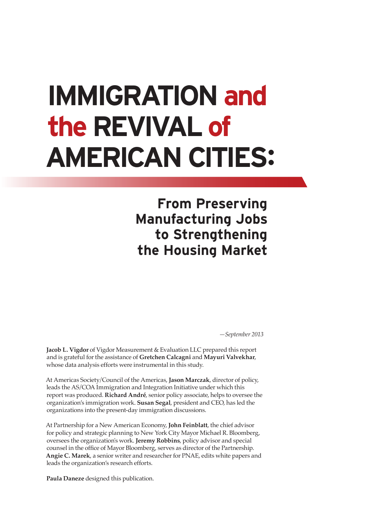# **Immigration and the revival of american cities:**

**From Preserving Manufacturing Jobs to Strengthening the Housing Market**

*—September 2013*

**Jacob L. Vigdor** of Vigdor Measurement & Evaluation LLC prepared this report and is grateful for the assistance of **Gretchen Calcagni** and **Mayuri Valvekhar**, whose data analysis efforts were instrumental in this study.

At Americas Society/Council of the Americas, **Jason Marczak**, director of policy, leads the AS/COA Immigration and Integration Initiative under which this report was produced. **Richard André**, senior policy associate, helps to oversee the organization's immigration work. **Susan Segal**, president and CEO, has led the organizations into the present-day immigration discussions.

At Partnership for a New American Economy, **John Feinblatt**, the chief advisor for policy and strategic planning to New York City Mayor Michael R. Bloomberg, oversees the organization's work. **Jeremy Robbins**, policy advisor and special counsel in the office of Mayor Bloomberg, serves as director of the Partnership. **Angie C. Marek**, a senior writer and researcher for PNAE, edits white papers and leads the organization's research efforts.

**Paula Daneze** designed this publication.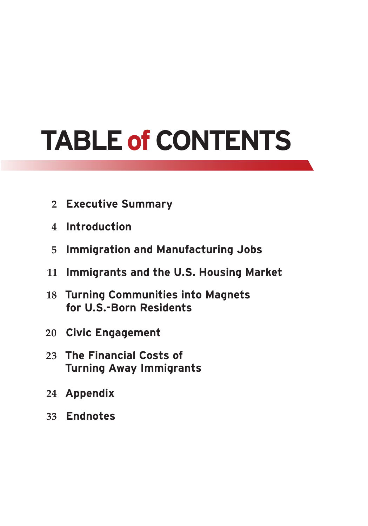# **TABLE of CONTENTS**

- **Executive Summary**
- **Introduction**
- **Immigration and Manufacturing Jobs**
- **Immigrants and the U.S. Housing Market**
- **Turning Communities into Magnets for U.S.-Born Residents**
- **Civic Engagement**
- **The Financial Costs of Turning Away Immigrants**
- **Appendix**
- **Endnotes**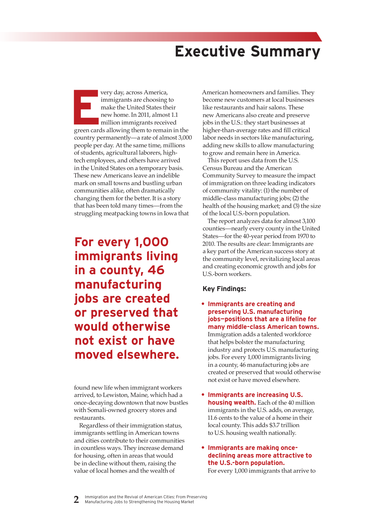# **Executive Summary**

**Every day, across America,**<br>
immigrants are choosing to<br>
make the United States their<br>
new home. In 2011, almost 1.1<br>
million immigrants received<br>
green cards allowing them to remain in the immigrants are choosing to make the United States their new home. In 2011, almost 1.1 million immigrants received country permanently—a rate of almost 3,000 people per day. At the same time, millions of students, agricultural laborers, hightech employees, and others have arrived in the United States on a temporary basis. These new Americans leave an indelible mark on small towns and bustling urban communities alike, often dramatically changing them for the better. It is a story that has been told many times—from the struggling meatpacking towns in Iowa that

**For every 1,000 immigrants living in a county, 46 manufacturing jobs are created or preserved that would otherwise not exist or have moved elsewhere.**

found new life when immigrant workers arrived, to Lewiston, Maine, which had a once-decaying downtown that now bustles with Somali-owned grocery stores and restaurants.

Regardless of their immigration status, immigrants settling in American towns and cities contribute to their communities in countless ways. They increase demand for housing, often in areas that would be in decline without them, raising the value of local homes and the wealth of

American homeowners and families. They become new customers at local businesses like restaurants and hair salons. These new Americans also create and preserve jobs in the U.S.: they start businesses at higher-than-average rates and fill critical labor needs in sectors like manufacturing, adding new skills to allow manufacturing to grow and remain here in America.

This report uses data from the U.S. Census Bureau and the American Community Survey to measure the impact of immigration on three leading indicators of community vitality: (1) the number of middle-class manufacturing jobs; (2) the health of the housing market; and (3) the size of the local U.S.-born population.

The report analyzes data for almost 3,100 counties—nearly every county in the United States—for the 40-year period from 1970 to 2010. The results are clear: Immigrants are a key part of the American success story at the community level, revitalizing local areas and creating economic growth and jobs for U.S.-born workers.

### **Key Findings:**

- **• Immigrants are creating and preserving U.S. manufacturing jobs—positions that are a lifeline for many middle-class American towns.** Immigration adds a talented workforce that helps bolster the manufacturing industry and protects U.S. manufacturing jobs. For every 1,000 immigrants living in a county, 46 manufacturing jobs are created or preserved that would otherwise not exist or have moved elsewhere.
- **• Immigrants are increasing U.S. housing wealth.** Each of the 40 million immigrants in the U.S. adds, on average, 11.6 cents to the value of a home in their local county. This adds \$3.7 trillion to U.S. housing wealth nationally.

### **• Immigrants are making oncedeclining areas more attractive to the U.S.-born population.**

For every 1,000 immigrants that arrive to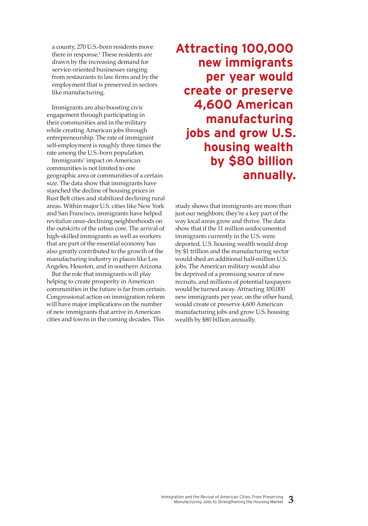a county, 270 U.S.-born residents move there in response.1 These residents are drawn by the increasing demand for service-oriented businesses ranging from restaurants to law firms and by the employment that is preserved in sectors like manufacturing.

Immigrants are also boosting civic engagement through participating in their communities and in the military while creating American jobs through entrepreneurship. The rate of immigrant self-employment is roughly three times the rate among the U.S.-born population.

Immigrants' impact on American communities is not limited to one geographic area or communities of a certain size. The data show that immigrants have stanched the decline of housing prices in Rust Belt cities and stabilized declining rural areas. Within major U.S. cities like New York and San Francisco, immigrants have helped revitalize once-declining neighborhoods on the outskirts of the urban core. The arrival of high-skilled immigrants as well as workers that are part of the essential economy has also greatly contributed to the growth of the manufacturing industry in places like Los Angeles, Houston, and in southern Arizona.

But the role that immigrants will play helping to create prosperity in American communities in the future is far from certain. Congressional action on immigration reform will have major implications on the number of new immigrants that arrive in American cities and towns in the coming decades. This

**Attracting 100,000 new immigrants per year would create or preserve 4,600 American manufacturing jobs and grow U.S. housing wealth by \$80 billion annually.**

study shows that immigrants are more than just our neighbors; they're a key part of the way local areas grow and thrive. The data show that if the 11 million undocumented immigrants currently in the U.S. were deported, U.S. housing wealth would drop by \$1 trillion and the manufacturing sector would shed an additional half-million U.S. jobs. The American military would also be deprived of a promising source of new recruits, and millions of potential taxpayers would be turned away. Attracting 100,000 new immigrants per year, on the other hand, would create or preserve 4,600 American manufacturing jobs and grow U.S. housing wealth by \$80 billion annually.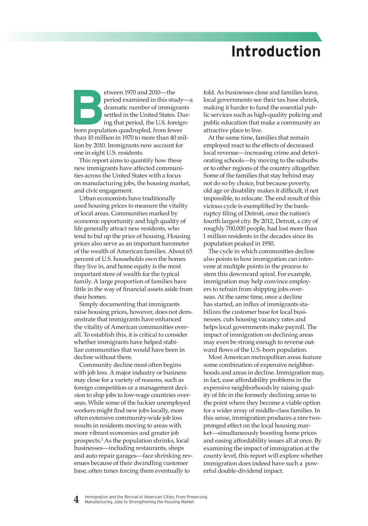# **Introduction**

etween 1970 and 2010—the<br>
period examined in this study<br>
dramatic number of immigran<br>
settled in the United States. Du<br>
ing that period, the U.S. foreign<br>
born population quadrupled, from fewer period examined in this study—a dramatic number of immigrants settled in the United States. During that period, the U.S. foreignthan 10 million in 1970 to more than 40 million by 2010. Immigrants now account for one in eight U.S. residents.

This report aims to quantify how these new immigrants have affected communities across the United States with a focus on manufacturing jobs, the housing market, and civic engagement.

Urban economists have traditionally used housing prices to measure the vitality of local areas. Communities marked by economic opportunity and high quality of life generally attract new residents, who tend to bid up the price of housing. Housing prices also serve as an important barometer of the wealth of American families. About 65 percent of U.S. households own the homes they live in, and home equity is the most important store of wealth for the typical family. A large proportion of families have little in the way of financial assets aside from their homes.

Simply documenting that immigrants raise housing prices, however, does not demonstrate that immigrants have enhanced the vitality of American communities overall. To establish this, it is critical to consider whether immigrants have helped stabilize communities that would have been in decline without them.

Community decline most often begins with job loss. A major industry or business may close for a variety of reasons, such as foreign competition or a management decision to ship jobs to low-wage countries overseas. While some of the luckier unemployed workers might find new jobs locally, more often extensive community-wide job loss results in residents moving to areas with more vibrant economies and greater job prospects.2 As the population shrinks, local businesses—including restaurants, shops and auto repair garages—face shrinking revenues because of their dwindling customer base, often times forcing them eventually to

fold. As businesses close and families leave, local governments see their tax base shrink, making it harder to fund the essential public services such as high-quality policing and public education that make a community an attractive place to live.

At the same time, families that remain employed react to the effects of decreased local revenue—increasing crime and deteriorating schools—by moving to the suburbs or to other regions of the country altogether. Some of the families that stay behind may not do so by choice, but because poverty, old age or disability makes it difficult, if not impossible, to relocate. The end result of this vicious cycle is exemplified by the bankruptcy filing of Detroit, once the nation's fourth largest city. By 2012, Detroit, a city of roughly 700,000 people, had lost more than 1 million residents in the decades since its population peaked in 1950.

The cycle in which communities decline also points to how immigration can intervene at multiple points in the process to stem this downward spiral. For example, immigration may help convince employers to refrain from shipping jobs overseas. At the same time, once a decline has started, an influx of immigrants stabilizes the customer base for local businesses, cuts housing vacancy rates and helps local governments make payroll. The impact of immigration on declining areas may even be strong enough to reverse outward flows of the U.S.-born population.

Most American metropolitan areas feature some combination of expensive neighborhoods and areas in decline. Immigration may, in fact, ease affordability problems in the expensive neighborhoods by raising quality of life in the formerly declining areas to the point where they become a viable option for a wider array of middle-class families. In this sense, immigration produces a rare twopronged effect on the local housing market—simultaneously boosting home prices and easing affordability issues all at once. By examining the impact of immigration at the county level, this report will explore whether immigration does indeed have such a powerful double-dividend impact.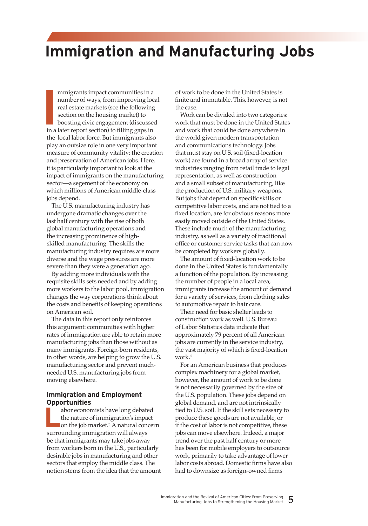# **Immigration and Manufacturing Jobs**

**I** mmigrants impact communities in a number of ways, from improving local real estate markets (see the following section on the housing market) to boosting civic engagement (discussed in a later report section) to filling gaps in the local labor force. But immigrants also play an outsize role in one very important measure of community vitality: the creation and preservation of American jobs. Here, it is particularly important to look at the impact of immigrants on the manufacturing sector—a segement of the economy on which millions of American middle-class jobs depend.

The U.S. manufacturing industry has undergone dramatic changes over the last half century with the rise of both global manufacturing operations and the increasing prominence of highskilled manufacturing. The skills the manufacturing industry requires are more diverse and the wage pressures are more severe than they were a generation ago.

By adding more individuals with the requisite skills sets needed and by adding more workers to the labor pool, immigration changes the way corporations think about the costs and benefits of keeping operations on American soil.

The data in this report only reinforces this argument: communities with higher rates of immigration are able to retain more manufacturing jobs than those without as many immigrants. Foreign-born residents, in other words, are helping to grow the U.S. manufacturing sector and prevent muchneeded U.S. manufacturing jobs from moving elsewhere.

### **Immigration and Employment Opportunities**

**L**abor economists have long debated the nature of immigration's impact on the job market.3 A natural concern surrounding immigration will always be that immigrants may take jobs away from workers born in the U.S., particularly desirable jobs in manufacturing and other sectors that employ the middle class. The notion stems from the idea that the amount of work to be done in the United States is finite and immutable. This, however, is not the case.

Work can be divided into two categories: work that must be done in the United States and work that could be done anywhere in the world given modern transportation and communications technology. Jobs that must stay on U.S. soil (fixed-location work) are found in a broad array of service industries ranging from retail trade to legal representation, as well as construction and a small subset of manufacturing, like the production of U.S. military weapons. But jobs that depend on specific skills or competitive labor costs, and are not tied to a fixed location, are for obvious reasons more easily moved outside of the United States. These include much of the manufacturing industry, as well as a variety of traditional office or customer service tasks that can now be completed by workers globally.

The amount of fixed-location work to be done in the United States is fundamentally a function of the population. By increasing the number of people in a local area, immigrants increase the amount of demand for a variety of services, from clothing sales to automotive repair to hair care.

Their need for basic shelter leads to construction work as well. U.S. Bureau of Labor Statistics data indicate that approximately 79 percent of all American jobs are currently in the service industry, the vast majority of which is fixed-location work.<sup>4</sup>

For an American business that produces complex machinery for a global market, however, the amount of work to be done is not necessarily governed by the size of the U.S. population. These jobs depend on global demand, and are not intrinsically tied to U.S. soil. If the skill sets necessary to produce these goods are not available, or if the cost of labor is not competitive, these jobs can move elsewhere. Indeed, a major trend over the past half century or more has been for mobile employers to outsource work, primarily to take advantage of lower labor costs abroad. Domestic firms have also had to downsize as foreign-owned firms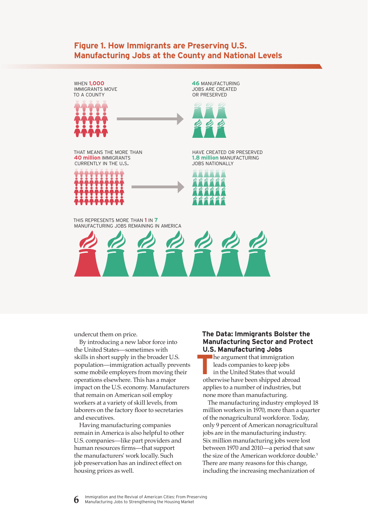# **Figure 1. How Immigrants are Preserving U.S. Manufacturing Jobs at the County and National Levels**

when **1,000** immigrants move to a county



**46** manufacturing jobs are created or preserved



that means the more than **40 million** immigrants currently in the u.s.



have created or preserved **1.8 million MANUFACTURING** JOBS NATIONALLY



this represents more than **1** in **7** manufacturing jobs remaining in america



undercut them on price.

By introducing a new labor force into the United States—sometimes with skills in short supply in the broader U.S. population—immigration actually prevents some mobile employers from moving their operations elsewhere. This has a major impact on the U.S. economy. Manufacturers that remain on American soil employ workers at a variety of skill levels, from laborers on the factory floor to secretaries and executives.

Having manufacturing companies remain in America is also helpful to other U.S. companies—like part providers and human resources firms—that support the manufacturers' work locally. Such job preservation has an indirect effect on housing prices as well.

### **The Data: Immigrants Bolster the Manufacturing Sector and Protect U.S. Manufacturing Jobs**

 **T** he argument that immigration leads companies to keep jobs in the United States that would otherwise have been shipped abroad applies to a number of industries, but none more than manufacturing.

The manufacturing industry employed 18 million workers in 1970, more than a quarter of the nonagricultural workforce. Today, only 9 percent of American nonagricultural jobs are in the manufacturing industry. Six million manufacturing jobs were lost between 1970 and 2010—a period that saw the size of the American workforce double.<sup>5</sup> There are many reasons for this change, including the increasing mechanization of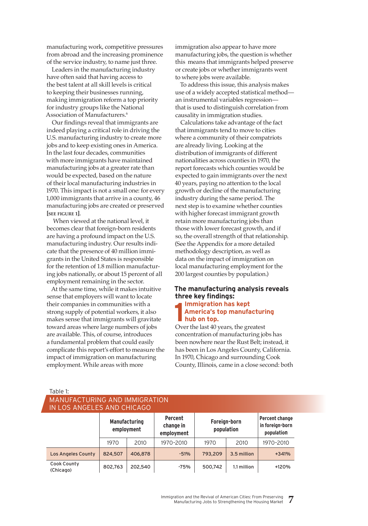manufacturing work, competitive pressures from abroad and the increasing prominence of the service industry, to name just three.

Leaders in the manufacturing industry have often said that having access to the best talent at all skill levels is critical to keeping their businesses running, making immigration reform a top priority for industry groups like the National Association of Manufacturers.6

Our findings reveal that immigrants are indeed playing a critical role in driving the U.S. manufacturing industry to create more jobs and to keep existing ones in America. In the last four decades, communities with more immigrants have maintained manufacturing jobs at a greater rate than would be expected, based on the nature of their local manufacturing industries in 1970. This impact is not a small one: for every 1,000 immigrants that arrive in a county, 46 manufacturing jobs are created or preserved **[see figure 1]**.

 When viewed at the national level, it becomes clear that foreign-born residents are having a profound impact on the U.S. manufacturing industry. Our results indicate that the presence of 40 million immigrants in the United States is responsible for the retention of 1.8 million manufacturing jobs nationally, or about 15 percent of all employment remaining in the sector.

At the same time, while it makes intuitive sense that employers will want to locate their companies in communities with a strong supply of potential workers, it also makes sense that immigrants will gravitate toward areas where large numbers of jobs are available. This, of course, introduces a fundamental problem that could easily complicate this report's effort to measure the impact of immigration on manufacturing employment. While areas with more

immigration also appear to have more manufacturing jobs, the question is whether this means that immigrants helped preserve or create jobs or whether immigrants went to where jobs were available.

To address this issue, this analysis makes use of a widely accepted statistical method an instrumental variables regression that is used to distinguish correlation from causality in immigration studies.

Calculations take advantage of the fact that immigrants tend to move to cities where a community of their compatriots are already living. Looking at the distribution of immigrants of different nationalities across counties in 1970, the report forecasts which counties would be expected to gain immigrants over the next 40 years, paying no attention to the local growth or decline of the manufacturing industry during the same period. The next step is to examine whether counties with higher forecast immigrant growth retain more manufacturing jobs than those with lower forecast growth, and if so, the overall strength of that relationship. (See the Appendix for a more detailed methodology description, as well as data on the impact of immigration on local manufacturing employment for the 200 largest counties by population.)

### **The manufacturing analysis reveals three key findings:**

#### **1 Immigration has kept America's top manufacturing hub on top.**

Over the last 40 years, the greatest concentration of manufacturing jobs has been nowhere near the Rust Belt; instead, it has been in Los Angeles County, California. In 1970, Chicago and surrounding Cook County, Illinois, came in a close second: both

Table 1:

### Manufacturing and Immigration in Los Angeles and Chicago

| <b>Manufacturing</b><br>employment |         |         | Percent<br>change in<br>employment | Foreign-born<br>population |             | Percent change<br>in foreign-born<br>population |  |  |  |
|------------------------------------|---------|---------|------------------------------------|----------------------------|-------------|-------------------------------------------------|--|--|--|
|                                    | 1970    | 2010    | 1970-2010                          | 1970                       | 2010        | 1970-2010                                       |  |  |  |
| <b>Los Angeles County</b>          | 824,507 | 406,878 | $-51%$                             | 793.209                    | 3.5 million | $+341%$                                         |  |  |  |
| Cook County<br>(Chicago)           | 802,763 | 202,540 | $-75%$                             | 500,742                    | 1.1 million | +120%                                           |  |  |  |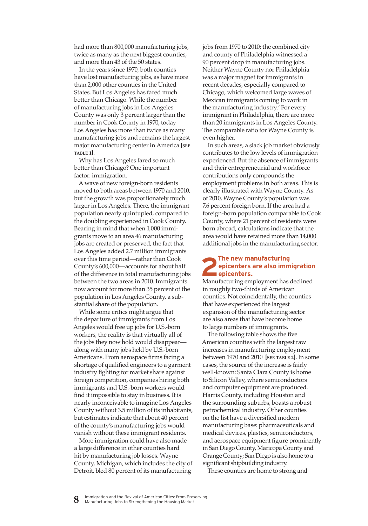had more than 800,000 manufacturing jobs, twice as many as the next biggest counties, and more than 43 of the 50 states.

In the years since 1970, both counties have lost manufacturing jobs, as have more than 2,000 other counties in the United States. But Los Angeles has fared much better than Chicago. While the number of manufacturing jobs in Los Angeles County was only 3 percent larger than the number in Cook County in 1970, today Los Angeles has more than twice as many manufacturing jobs and remains the largest major manufacturing center in America **[see table 1]**.

Why has Los Angeles fared so much better than Chicago? One important factor: immigration.

A wave of new foreign-born residents moved to both areas between 1970 and 2010, but the growth was proportionately much larger in Los Angeles. There, the immigrant population nearly quintupled, compared to the doubling experienced in Cook County. Bearing in mind that when 1,000 immigrants move to an area 46 manufacturing jobs are created or preserved, the fact that Los Angeles added 2.7 million immigrants over this time period—rather than Cook County's 600,000—accounts for about half of the difference in total manufacturing jobs between the two areas in 2010. Immigrants now account for more than 35 percent of the population in Los Angeles County, a substantial share of the population.

While some critics might argue that the departure of immigrants from Los Angeles would free up jobs for U.S.-born workers, the reality is that virtually all of the jobs they now hold would disappear along with many jobs held by U.S.-born Americans. From aerospace firms facing a shortage of qualified engineers to a garment industry fighting for market share against foreign competition, companies hiring both immigrants and U.S.-born workers would find it impossible to stay in business. It is nearly inconceivable to imagine Los Angeles County without 3.5 million of its inhabitants, but estimates indicate that about 40 percent of the county's manufacturing jobs would vanish without these immigrant residents.

More immigration could have also made a large difference in other counties hard hit by manufacturing job losses. Wayne County, Michigan, which includes the city of Detroit, bled 80 percent of its manufacturing

jobs from 1970 to 2010; the combined city and county of Philadelphia witnessed a 90 percent drop in manufacturing jobs. Neither Wayne County nor Philadelphia was a major magnet for immigrants in recent decades, especially compared to Chicago, which welcomed large waves of Mexican immigrants coming to work in the manufacturing industry.7 For every immigrant in Philadelphia, there are more than 20 immigrants in Los Angeles County. The comparable ratio for Wayne County is even higher.

In such areas, a slack job market obviously contributes to the low levels of immigration experienced. But the absence of immigrants and their entrepreneurial and workforce contributions only compounds the employment problems in both areas. This is clearly illustrated with Wayne County. As of 2010, Wayne County's population was 7.6 percent foreign born. If the area had a foreign-born population comparable to Cook County, where 21 percent of residents were born abroad, calculations indicate that the area would have retained more than 14,000 additional jobs in the manufacturing sector.

## The new manufacturing<br>
epicenters are also imm<br>
epicenters. **epicenters are also immigration epicenters.**

Manufacturing employment has declined in roughly two-thirds of American counties. Not coincidentally, the counties that have experienced the largest expansion of the manufacturing sector are also areas that have become home to large numbers of immigrants.

The following table shows the five American counties with the largest raw increases in manufacturing employment between 1970 and 2010 **[see table 2]**. In some cases, the source of the increase is fairly well-known: Santa Clara County is home to Silicon Valley, where semiconductors and computer equipment are produced. Harris County, including Houston and the surrounding suburbs, boasts a robust petrochemical industry. Other counties on the list have a diversified modern manufacturing base: pharmaceuticals and medical devices, plastics, semiconductors, and aerospace equipment figure prominently in San Diego County, Maricopa County and Orange County; San Diego is also home to a significant shipbuilding industry.

These counties are home to strong and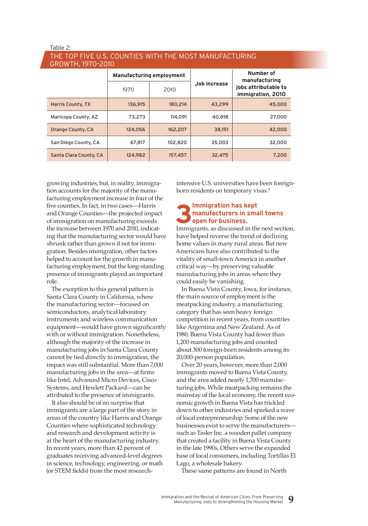#### The top five u.s. counties with the most manufacturing growth, 1970–2010

| . <i>. .</i>             |         |                                 |              |                                           |
|--------------------------|---------|---------------------------------|--------------|-------------------------------------------|
|                          |         | <b>Manufacturing employment</b> | Job increase | Number of<br>manufacturing                |
|                          | 1970    | 2010                            |              | jobs attributable to<br>immigration, 2010 |
| <b>Harris County, TX</b> | 136.915 | 180.214                         | 43,299       | 45,000                                    |
| Maricopa County, AZ      | 73,273  | 114.091                         | 40,818       | 27,000                                    |
| Orange County, CA        | 124.056 | 162,207                         | 38,151       | 42,000                                    |
| San Diego County, CA     | 67.817  | 102,820                         | 35,003       | 32,000                                    |
| Santa Clara County, CA   | 124,982 | 157,457                         | 32,475       | 7,200                                     |

growing industries, but, in reality, immigration accounts for the majority of the manufacturing employment increase in four of the five counties. In fact, in two cases—Harris and Orange Counties—the projected impact of immigration on manufacturing exceeds the increase between 1970 and 2010, indicating that the manufacturing sector would have shrunk rather than grown if not for immigration. Besides immigration, other factors helped to account for the growth in manufacturing employment, but the long-standing presence of immigrants played an important role.

The exception to this general pattern is Santa Clara County in California, where the manufacturing sector—focused on semiconductors, analytical laboratory instruments and wireless communication equipment—would have grown significantly with or without immigration. Nonetheless, although the majority of the increase in manufacturing jobs in Santa Clara County cannot be tied directly to immigration, the impact was still substantial. More than 7,000 manufacturing jobs in the area—at firms like Intel, Advanced Micro Devices, Cisco Systems, and Hewlett Packard—can be attributed to the presence of immigrants.

It also should be of no surprise that immigrants are a large part of the story in areas of the country like Harris and Orange Counties where sophisticated technology and research and development activity is at the heart of the manufacturing industry. In recent years, more than 42 percent of graduates receiving advanced-level degrees in science, technology, engineering, or math (or STEM fields) from the most researchintensive U.S. universities have been foreignborn residents on temporary visas.<sup>8</sup>

#### **3Immigration has kept manufacturers in small towns open for business.**

Immigrants, as discussed in the next section, have helped reverse the trend of declining home values in many rural areas. But new Americans have also contributed to the vitality of small-town America in another critical way—by preserving valuable manufacturing jobs in areas where they could easily be vanishing.

In Buena Vista County, Iowa, for instance, the main source of employment is the meatpacking industry, a manufacturing category that has seen heavy foreign competition in recent years, from countries like Argentina and New Zealand. As of 1980, Buena Vista County had fewer than 1,200 manufacturing jobs and counted about 300 foreign-born residents among its 20,000-person population.

Over 20 years, however, more than 2,000 immigrants moved to Buena Vista County, and the area added nearly 1,700 manufacturing jobs. While meatpacking remains the mainstay of the local economy, the recent economic growth in Buena Vista has trickled down to other industries and sparked a wave of local entrepreneurship. Some of the new businesses exist to serve the manufacturers such as Tasler Inc. a wooden pallet company that created a facility in Buena Vista County in the late 1990s. Others serve the expanded base of local consumers, including Tortillas El Lago, a wholesale bakery.

These same patterns are found in North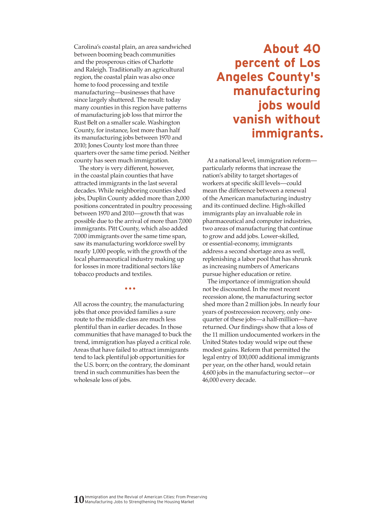Carolina's coastal plain, an area sandwiched between booming beach communities and the prosperous cities of Charlotte and Raleigh. Traditionally an agricultural region, the coastal plain was also once home to food processing and textile manufacturing—businesses that have since largely shuttered. The result: today many counties in this region have patterns of manufacturing job loss that mirror the Rust Belt on a smaller scale. Washington County, for instance, lost more than half its manufacturing jobs between 1970 and 2010; Jones County lost more than three quarters over the same time period. Neither county has seen much immigration.

The story is very different, however, in the coastal plain counties that have attracted immigrants in the last several decades. While neighboring counties shed jobs, Duplin County added more than 2,000 positions concentrated in poultry processing between 1970 and 2010—growth that was possible due to the arrival of more than 7,000 immigrants. Pitt County, which also added 7,000 immigrants over the same time span, saw its manufacturing workforce swell by nearly 1,000 people, with the growth of the local pharmaceutical industry making up for losses in more traditional sectors like tobacco products and textiles.

All across the country, the manufacturing jobs that once provided families a sure route to the middle class are much less plentiful than in earlier decades. In those communities that have managed to buck the trend, immigration has played a critical role. Areas that have failed to attract immigrants tend to lack plentiful job opportunities for the U.S. born; on the contrary, the dominant trend in such communities has been the wholesale loss of jobs.

•••

# **About 40 percent of Los Angeles County's manufacturing jobs would vanish without immigrants.**

At a national level, immigration reform particularly reforms that increase the nation's ability to target shortages of workers at specific skill levels—could mean the difference between a renewal of the American manufacturing industry and its continued decline. High-skilled immigrants play an invaluable role in pharmaceutical and computer industries, two areas of manufacturing that continue to grow and add jobs. Lower-skilled, or essential-economy, immigrants address a second shortage area as well, replenishing a labor pool that has shrunk as increasing numbers of Americans pursue higher education or retire.

The importance of immigration should not be discounted. In the most recent recession alone, the manufacturing sector shed more than 2 million jobs. In nearly four years of postrecession recovery, only onequarter of these jobs—a half-million—have returned. Our findings show that a loss of the 11 million undocumented workers in the United States today would wipe out these modest gains. Reform that permitted the legal entry of 100,000 additional immigrants per year, on the other hand, would retain 4,600 jobs in the manufacturing sector—or 46,000 every decade.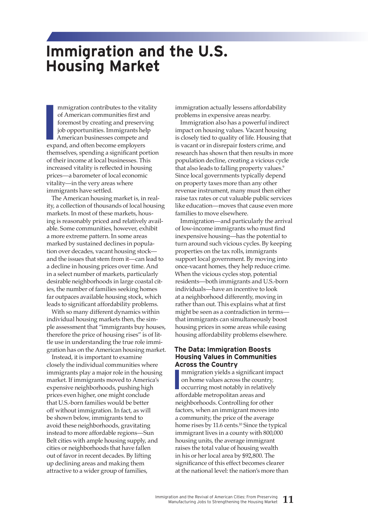# **Immigration and the U.S. Housing Market**

**I**<br> **I**<br> **I**<br> **I**<br> **I**<br> **I**<br> **EXPER** mmigration contributes to the vitality of American communities first and foremost by creating and preserving job opportunities. Immigrants help American businesses compete and expand, and often become employers themselves, spending a significant portion of their income at local businesses. This increased vitality is reflected in housing prices—a barometer of local economic vitality—in the very areas where immigrants have settled.

The American housing market is, in reality, a collection of thousands of local housing markets. In most of these markets, housing is reasonably priced and relatively available. Some communities, however, exhibit a more extreme pattern. In some areas marked by sustained declines in population over decades, vacant housing stock and the issues that stem from it—can lead to a decline in housing prices over time. And in a select number of markets, particularly desirable neighborhoods in large coastal cities, the number of families seeking homes far outpaces available housing stock, which leads to significant affordability problems.

With so many different dynamics within individual housing markets then, the simple assessment that "immigrants buy houses, therefore the price of housing rises" is of little use in understanding the true role immigration has on the American housing market.

Instead, it is important to examine closely the individual communities where immigrants play a major role in the housing market. If immigrants moved to America's expensive neighborhoods, pushing high prices even higher, one might conclude that U.S.-born families would be better off without immigration. In fact, as will be shown below, immigrants tend to avoid these neighborhoods, gravitating instead to more affordable regions—Sun Belt cities with ample housing supply, and cities or neighborhoods that have fallen out of favor in recent decades. By lifting up declining areas and making them attractive to a wider group of families,

immigration actually lessens affordability problems in expensive areas nearby.

Immigration also has a powerful indirect impact on housing values. Vacant housing is closely tied to quality of life. Housing that is vacant or in disrepair fosters crime, and research has shown that then results in more population decline, creating a vicious cycle that also leads to falling property values.<sup>9</sup> Since local governments typically depend on property taxes more than any other revenue instrument, many must then either raise tax rates or cut valuable public services like education—moves that cause even more families to move elsewhere.

Immigration—and particularly the arrival of low-income immigrants who must find inexpensive housing—has the potential to turn around such vicious cycles. By keeping properties on the tax rolls, immigrants support local government. By moving into once-vacant homes, they help reduce crime. When the vicious cycles stop, potential residents—both immigrants and U.S.-born individuals—have an incentive to look at a neighborhood differently, moving in rather than out. This explains what at first might be seen as a contradiction in terms that immigrants can simultaneously boost housing prices in some areas while easing housing affordability problems elsewhere.

### **The Data: Immigration Boosts Housing Values in Communities Across the Country**

**I** mmigration yields a significant impact on home values across the country, occurring most notably in relatively affordable metropolitan areas and neighborhoods. Controlling for other factors, when an immigrant moves into a community, the price of the average home rises by 11.6 cents.<sup>10</sup> Since the typical immigrant lives in a county with 800,000 housing units, the average immigrant raises the total value of housing wealth in his or her local area by \$92,800. The significance of this effect becomes clearer at the national level: the nation's more than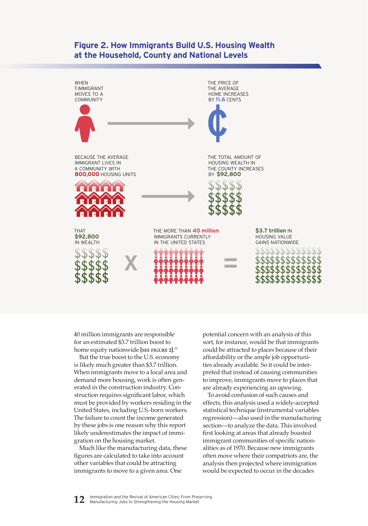## **Figure 2. How Immigrants Build U.S. Housing Wealth at the Household, County and National Levels**



40 million immigrants are responsible for an estimated \$3.7 trillion boost to home equity nationwide **[see figure 2]**. 11

But the true boost to the U.S. economy is likely much greater than \$3.7 trillion. When immigrants move to a local area and demand more housing, work is often generated in the construction industry. Construction requires significant labor, which must be provided by workers residing in the United States, including U.S.-born workers. The failure to count the income generated by these jobs is one reason why this report likely underestimates the impact of immigration on the housing market.

Much like the manufacturing data, these figures are calculated to take into account other variables that could be attracting immigrants to move to a given area. One

potential concern with an analysis of this sort, for instance, would be that immigrants could be attracted to places because of their affordability or the ample job opportunities already available. So it could be interpreted that instead of causing communities to improve, immigrants move to places that are already experiencing an upswing.

To avoid confusion of such causes and effects, this analysis used a widely-accepted statistical technique (instrumental variables regression)—also used in the manufacturing section—to analyze the data. This involved first looking at areas that already boasted immigrant communities of specific nationalities as of 1970. Because new immigrants often move where their compatriots are, the analysis then projected where immigration would be expected to occur in the decades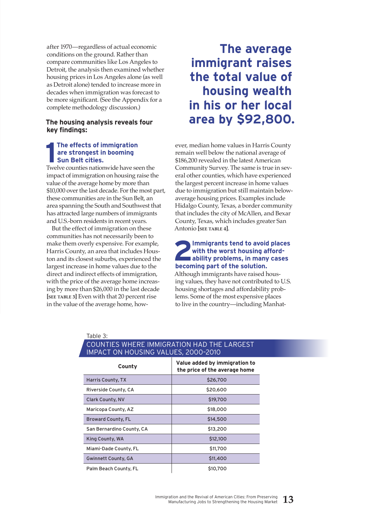after 1970—regardless of actual economic conditions on the ground. Rather than compare communities like Los Angeles to Detroit, the analysis then examined whether housing prices in Los Angeles alone (as well as Detroit alone) tended to increase more in decades when immigration was forecast to be more significant. (See the Appendix for a complete methodology discussion.)

### **The housing analysis reveals four key findings:**

### The effects of immigration<br>
are strongest in booming<br>
Sun Belt cities.<br>
Twelve counties nationwide have seen the **The effects of immigration are strongest in booming Sun Belt cities.**

impact of immigration on housing raise the value of the average home by more than \$10,000 over the last decade. For the most part, these communities are in the Sun Belt, an area spanning the South and Southwest that has attracted large numbers of immigrants and U.S.-born residents in recent years.

But the effect of immigration on these communities has not necessarily been to make them overly expensive. For example, Harris County, an area that includes Houston and its closest suburbs, experienced the largest increase in home values due to the direct and indirect effects of immigration, with the price of the average home increasing by more than \$26,000 in the last decade **[see table 3]** Even with that 20 percent rise in the value of the average home, how-

Table 3:

# **The average immigrant raises the total value of housing wealth in his or her local area by \$92,800.**

ever, median home values in Harris County remain well below the national average of \$186,200 revealed in the latest American Community Survey. The same is true in several other counties, which have experienced the largest percent increase in home values due to immigration but still maintain belowaverage housing prices. Examples include Hidalgo County, Texas, a border community that includes the city of McAllen, and Bexar County, Texas, which includes greater San Antonio **[see table 4]**.

# **2**<br>**2** Immigrants tend to avoid places<br>ability problems, in many cases **with the worst housing affordbecoming part of the solution.**

Although immigrants have raised housing values, they have not contributed to U.S. housing shortages and affordability problems. Some of the most expensive places to live in the country—including Manhat-

| IMPACT ON HOUSING VALUES, 2000-2010 |                                                                |  |  |  |  |  |  |
|-------------------------------------|----------------------------------------------------------------|--|--|--|--|--|--|
| County                              | Value added by immigration to<br>the price of the average home |  |  |  |  |  |  |
| <b>Harris County, TX</b>            | \$26,700                                                       |  |  |  |  |  |  |
| Riverside County, CA                | \$20,600                                                       |  |  |  |  |  |  |
| <b>Clark County, NV</b>             | \$19,700                                                       |  |  |  |  |  |  |
| Maricopa County, AZ                 | \$18,000                                                       |  |  |  |  |  |  |
| <b>Broward County, FL</b>           | \$14,500                                                       |  |  |  |  |  |  |
| San Bernardino County, CA           | \$13,200                                                       |  |  |  |  |  |  |
| King County, WA                     | \$12,100                                                       |  |  |  |  |  |  |
| Miami-Dade County, FL               | \$11,700                                                       |  |  |  |  |  |  |
| <b>Gwinnett County, GA</b>          | \$11,400                                                       |  |  |  |  |  |  |
| Palm Beach County, FL               | \$10,700                                                       |  |  |  |  |  |  |

## Counties where immigration had the largest impact on housing values, 2000–2010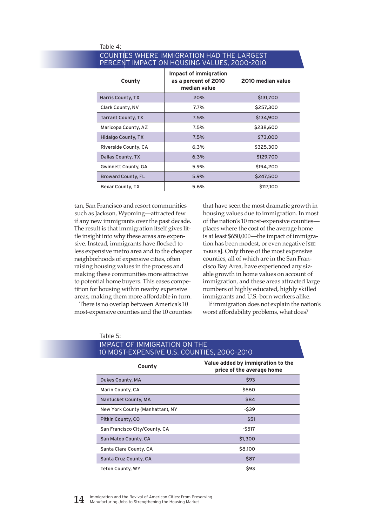| LIVENT INITACT ON HOODING VALUES, LOOD LOID |                                                                      |                   |  |  |  |  |  |  |
|---------------------------------------------|----------------------------------------------------------------------|-------------------|--|--|--|--|--|--|
| County                                      | <b>Impact of immigration</b><br>as a percent of 2010<br>median value | 2010 median value |  |  |  |  |  |  |
| Harris County, TX                           | 20%                                                                  | \$131,700         |  |  |  |  |  |  |
| Clark County, NV                            | 7.7%                                                                 | \$257,300         |  |  |  |  |  |  |
| <b>Tarrant County, TX</b>                   | 7.5%                                                                 | \$134,900         |  |  |  |  |  |  |
| Maricopa County, AZ                         | 7.5%                                                                 | \$238,600         |  |  |  |  |  |  |
| <b>Hidalgo County, TX</b>                   | 7.5%                                                                 | \$73,000          |  |  |  |  |  |  |
| Riverside County, CA                        | 6.3%                                                                 | \$325,300         |  |  |  |  |  |  |
| Dallas County, TX                           | 6.3%                                                                 | \$129,700         |  |  |  |  |  |  |
| Gwinnett County, GA                         | 5.9%                                                                 | \$194,200         |  |  |  |  |  |  |
| <b>Broward County, FL</b>                   | 5.9%                                                                 | \$247,500         |  |  |  |  |  |  |
| Bexar County, TX                            | 5.6%                                                                 | \$117,100         |  |  |  |  |  |  |

#### Table 4: Counties where immigration had the largest percent impact on housing values, 2000–2010

tan, San Francisco and resort communities such as Jackson, Wyoming—attracted few if any new immigrants over the past decade. The result is that immigration itself gives little insight into why these areas are expensive. Instead, immigrants have flocked to less expensive metro area and to the cheaper neighborhoods of expensive cities, often raising housing values in the process and making these communities more attractive to potential home buyers. This eases competition for housing within nearby expensive areas, making them more affordable in turn.

There is no overlap between America's 10 most-expensive counties and the 10 counties

Table 5:

that have seen the most dramatic growth in housing values due to immigration. In most of the nation's 10 most-expensive counties places where the cost of the average home is at least \$650,000—the impact of immigration has been modest, or even negative **[see table 5]**. Only three of the most expensive counties, all of which are in the San Francisco Bay Area, have experienced any sizable growth in home values on account of immigration, and these areas attracted large numbers of highly educated, highly skilled immigrants and U.S.-born workers alike.

If immigration does not explain the nation's worst affordability problems, what does?

| 10 MOST-EXPENSIVE U.S. COUNTIES, 2000-2010 |                                                                |  |  |  |  |  |  |
|--------------------------------------------|----------------------------------------------------------------|--|--|--|--|--|--|
| County                                     | Value added by immigration to the<br>price of the average home |  |  |  |  |  |  |
| Dukes County, MA                           | \$93                                                           |  |  |  |  |  |  |
| Marin County, CA                           | \$660                                                          |  |  |  |  |  |  |
| Nantucket County, MA                       | \$84                                                           |  |  |  |  |  |  |
| New York County (Manhattan), NY            | -\$39                                                          |  |  |  |  |  |  |
| Pitkin County, CO                          | \$51                                                           |  |  |  |  |  |  |
| San Francisco City/County, CA              | $-$ \$517                                                      |  |  |  |  |  |  |
| San Mateo County, CA                       | \$1,300                                                        |  |  |  |  |  |  |
| Santa Clara County, CA                     | \$8,100                                                        |  |  |  |  |  |  |
| Santa Cruz County, CA                      | \$87                                                           |  |  |  |  |  |  |
| <b>Teton County, WY</b>                    | \$93                                                           |  |  |  |  |  |  |

# Impact of immigration on the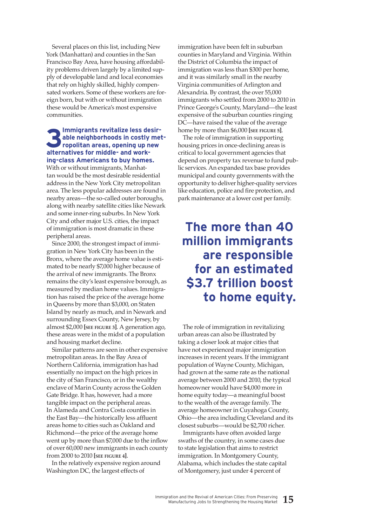Several places on this list, including New York (Manhattan) and counties in the San Francisco Bay Area, have housing affordability problems driven largely by a limited supply of developable land and local economies that rely on highly skilled, highly compensated workers. Some of these workers are foreign born, but with or without immigration these would be America's most expensive communities.

### **3** Immigrants revitalize less desir-<br>able neighborhoods in costly metropolitan areas, opening up new **able neighborhoods in costly metropolitan areas, opening up new alternatives for middle- and working-class Americans to buy homes.**

With or without immigrants, Manhattan would be the most desirable residential address in the New York City metropolitan area. The less popular addresses are found in nearby areas—the so-called outer boroughs, along with nearby satellite cities like Newark and some inner-ring suburbs. In New York City and other major U.S. cities, the impact of immigration is most dramatic in these peripheral areas.

Since 2000, the strongest impact of immigration in New York City has been in the Bronx, where the average home value is estimated to be nearly \$7,000 higher because of the arrival of new immigrants. The Bronx remains the city's least expensive borough, as measured by median home values. Immigration has raised the price of the average home in Queens by more than \$3,000, on Staten Island by nearly as much, and in Newark and surrounding Essex County, New Jersey, by almost \$2,000 **[see figure 3]**. A generation ago, these areas were in the midst of a population and housing market decline.

Similar patterns are seen in other expensive metropolitan areas. In the Bay Area of Northern California, immigration has had essentially no impact on the high prices in the city of San Francisco, or in the wealthy enclave of Marin County across the Golden Gate Bridge. It has, however, had a more tangible impact on the peripheral areas. In Alameda and Contra Costa counties in the East Bay—the historically less affluent areas home to cities such as Oakland and Richmond—the price of the average home went up by more than \$7,000 due to the inflow of over 60,000 new immigrants in each county from 2000 to 2010 **[see figure 4]**.

In the relatively expensive region around Washington DC, the largest effects of

immigration have been felt in suburban counties in Maryland and Virginia. Within the District of Columbia the impact of immigration was less than \$300 per home, and it was similarly small in the nearby Virginia communities of Arlington and Alexandria. By contrast, the over 55,000 immigrants who settled from 2000 to 2010 in Prince George's County, Maryland—the least expensive of the suburban counties ringing DC—have raised the value of the average home by more than \$6,000 **[see figure 5]**.

The role of immigration in supporting housing prices in once-declining areas is critical to local government agencies that depend on property tax revenue to fund public services. An expanded tax base provides municipal and county governments with the opportunity to deliver higher-quality services like education, police and fire protection, and park maintenance at a lower cost per family.

# **The more than 40 million immigrants are responsible for an estimated \$3.7 trillion boost to home equity.**

The role of immigration in revitalizing urban areas can also be illustrated by taking a closer look at major cities that have not experienced major immigration increases in recent years. If the immigrant population of Wayne County, Michigan, had grown at the same rate as the national average between 2000 and 2010, the typical homeowner would have \$4,000 more in home equity today—a meaningful boost to the wealth of the average family. The average homeowner in Cuyahoga County, Ohio—the area including Cleveland and its closest suburbs—would be \$2,700 richer.

Immigrants have often avoided large swaths of the country, in some cases due to state legislation that aims to restrict immigration. In Montgomery County, Alabama, which includes the state capital of Montgomery, just under 4 percent of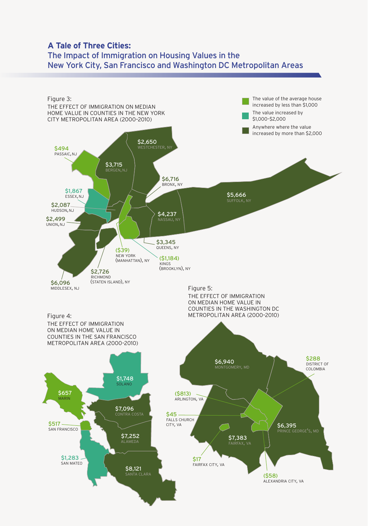# **A Tale of Three Cities:**  The Impact of Immigration on Housing Values in the New York City, San Francisco and Washington DC Metropolitan Areas

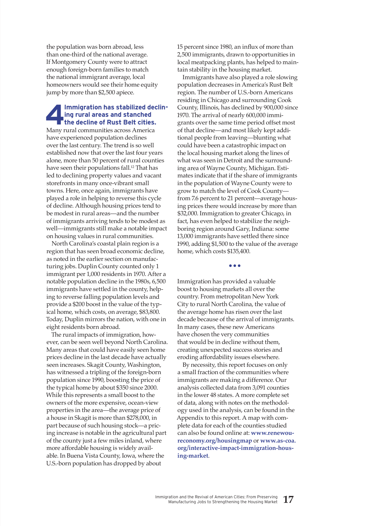the population was born abroad, less than one-third of the national average. If Montgomery County were to attract enough foreign-born families to match the national immigrant average, local homeowners would see their home equity jump by more than \$2,500 apiece.

# **4Immigration has stabilized declin-the decline of Rust Belt cities. ing rural areas and stanched**

Many rural communities across America have experienced population declines over the last century. The trend is so well established now that over the last four years alone, more than 50 percent of rural counties have seen their populations fall.<sup>12</sup> That has led to declining property values and vacant storefronts in many once-vibrant small towns. Here, once again, immigrants have played a role in helping to reverse this cycle of decline. Although housing prices tend to be modest in rural areas—and the number of immigrants arriving tends to be modest as well—immigrants still make a notable impact on housing values in rural communities.

North Carolina's coastal plain region is a region that has seen broad economic decline, as noted in the earlier section on manufacturing jobs. Duplin County counted only 1 immigrant per 1,000 residents in 1970. After a notable population decline in the 1980s, 6,500 immigrants have settled in the county, helping to reverse falling population levels and provide a \$200 boost in the value of the typical home, which costs, on average, \$83,800. Today, Duplin mirrors the nation, with one in eight residents born abroad.

The rural impacts of immigration, however, can be seen well beyond North Carolina. Many areas that could have easily seen home prices decline in the last decade have actually seen increases. Skagit County, Washington, has witnessed a tripling of the foreign-born population since 1990, boosting the price of the typical home by about \$350 since 2000. While this represents a small boost to the owners of the more expensive, ocean-view properties in the area—the average price of a house in Skagit is more than \$278,000, in part because of such housing stock—a pricing increase is notable in the agricultural part of the county just a few miles inland, where more affordable housing is widely available. In Buena Vista County, Iowa, where the U.S.-born population has dropped by about

15 percent since 1980, an influx of more than 2,500 immigrants, drawn to opportunities in local meatpacking plants, has helped to maintain stability in the housing market.

Immigrants have also played a role slowing population decreases in America's Rust Belt region. The number of U.S.-born Americans residing in Chicago and surrounding Cook County, Illinois, has declined by 900,000 since 1970. The arrival of nearly 600,000 immigrants over the same time period offset most of that decline—and most likely kept additional people from leaving—blunting what could have been a catastrophic impact on the local housing market along the lines of what was seen in Detroit and the surrounding area of Wayne County, Michigan. Estimates indicate that if the share of immigrants in the population of Wayne County were to grow to match the level of Cook County from 7.6 percent to 21 percent—average housing prices there would increase by more than \$32,000. Immigration to greater Chicago, in fact, has even helped to stabilize the neighboring region around Gary, Indiana: some 13,000 immigrants have settled there since 1990, adding \$1,500 to the value of the average home, which costs \$135,400.

**•••**

Immigration has provided a valuable boost to housing markets all over the country. From metropolitan New York City to rural North Carolina, the value of the average home has risen over the last decade because of the arrival of immigrants. In many cases, these new Americans have chosen the very communities that would be in decline without them, creating unexpected success stories and eroding affordability issues elsewhere.

By necessity, this report focuses on only a small fraction of the communities where immigrants are making a difference. Our analysis collected data from 3,091 counties in the lower 48 states. A more complete set of data, along with notes on the methodology used in the analysis, can be found in the Appendix to this report. A map with complete data for each of the counties studied can also be found online at: **www.renewoureconomy.org/housingmap** or **www.as-coa. org/interactive-impact-immigration-housing-market**.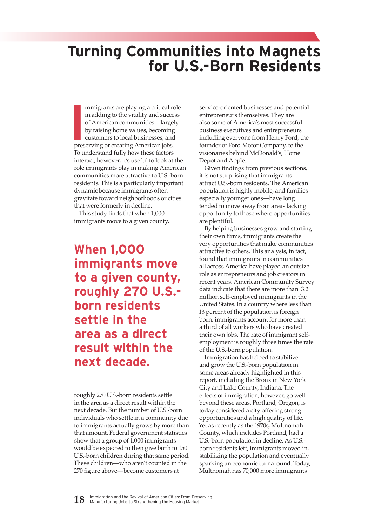# **Turning Communities into Magnets for U.S.-Born Residents**

**I** mmigrants are playing a critical role in adding to the vitality and success of American communities—largely by raising home values, becoming customers to local businesses, and preserving or creating American jobs. To understand fully how these factors interact, however, it's useful to look at the role immigrants play in making American communities more attractive to U.S.-born residents. This is a particularly important dynamic because immigrants often gravitate toward neighborhoods or cities that were formerly in decline.

This study finds that when 1,000 immigrants move to a given county,

**When 1,000 immigrants move to a given county, roughly 270 U.S. born residents settle in the area as a direct result within the next decade.**

roughly 270 U.S.-born residents settle in the area as a direct result within the next decade. But the number of U.S.-born individuals who settle in a community due to immigrants actually grows by more than that amount. Federal government statistics show that a group of 1,000 immigrants would be expected to then give birth to 150 U.S.-born children during that same period. These children—who aren't counted in the 270 figure above—become customers at

service-oriented businesses and potential entrepreneurs themselves. They are also some of America's most successful business executives and entrepreneurs including everyone from Henry Ford, the founder of Ford Motor Company, to the visionaries behind McDonald's, Home Depot and Apple.

Given findings from previous sections, it is not surprising that immigrants attract U.S.-born residents. The American population is highly mobile, and families especially younger ones—have long tended to move away from areas lacking opportunity to those where opportunities are plentiful.

By helping businesses grow and starting their own firms, immigrants create the very opportunities that make communities attractive to others. This analysis, in fact, found that immigrants in communities all across America have played an outsize role as entrepreneurs and job creators in recent years. American Community Survey data indicate that there are more than 3.2 million self-employed immigrants in the United States. In a country where less than 13 percent of the population is foreign born, immigrants account for more than a third of all workers who have created their own jobs. The rate of immigrant selfemployment is roughly three times the rate of the U.S.-born population.

Immigration has helped to stabilize and grow the U.S.-born population in some areas already highlighted in this report, including the Bronx in New York City and Lake County, Indiana. The effects of immigration, however, go well beyond these areas. Portland, Oregon, is today considered a city offering strong opportunities and a high quality of life. Yet as recently as the 1970s, Multnomah County, which includes Portland, had a U.S.-born population in decline. As U.S. born residents left, immigrants moved in, stabilizing the population and eventually sparking an economic turnaround. Today, Multnomah has 70,000 more immigrants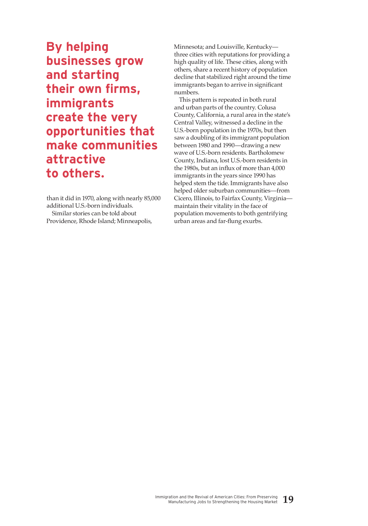**By helping businesses grow and starting their own firms, immigrants create the very opportunities that make communities attractive to others.**

than it did in 1970, along with nearly 85,000 additional U.S.-born individuals. Similar stories can be told about Providence, Rhode Island; Minneapolis,

Minnesota; and Louisville, Kentucky three cities with reputations for providing a high quality of life. These cities, along with others, share a recent history of population decline that stabilized right around the time immigrants began to arrive in significant numbers.

This pattern is repeated in both rural and urban parts of the country. Colusa County, California, a rural area in the state's Central Valley, witnessed a decline in the U.S.-born population in the 1970s, but then saw a doubling of its immigrant population between 1980 and 1990—drawing a new wave of U.S.-born residents. Bartholomew County, Indiana, lost U.S.-born residents in the 1980s, but an influx of more than 4,000 immigrants in the years since 1990 has helped stem the tide. Immigrants have also helped older suburban communities—from Cicero, Illinois, to Fairfax County, Virginia maintain their vitality in the face of population movements to both gentrifying urban areas and far-flung exurbs.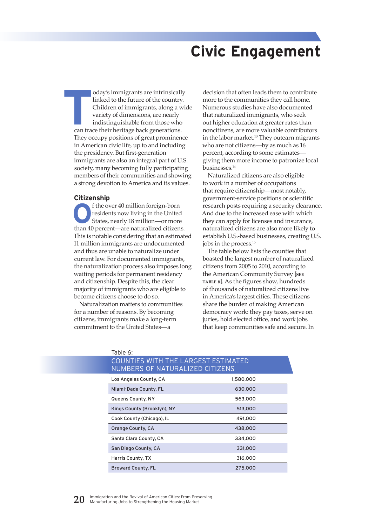# **Civic Engagement**

oday's immigrants are intrinsically<br>
linked to the future of the country.<br>
Children of immigrants, along a wive<br>
variety of dimensions, are nearly<br>
indistinguishable from those who<br>
can trace their heritage back generation linked to the future of the country. Children of immigrants, along a wide variety of dimensions, are nearly indistinguishable from those who They occupy positions of great prominence in American civic life, up to and including the presidency. But first-generation immigrants are also an integral part of U.S. society, many becoming fully participating members of their communities and showing a strong devotion to America and its values.

#### **Citizenship**

**O**f the over 40 million foreign-born residents now living in the United States, nearly 18 million—or more residents now living in the United than 40 percent—are naturalized citizens. This is notable considering that an estimated 11 million immigrants are undocumented and thus are unable to naturalize under current law. For documented immigrants, the naturalization process also imposes long waiting periods for permanent residency and citizenship. Despite this, the clear majority of immigrants who are eligible to become citizens choose to do so.

Naturalization matters to communities for a number of reasons. By becoming citizens, immigrants make a long-term commitment to the United States—a

decision that often leads them to contribute more to the communities they call home. Numerous studies have also documented that naturalized immigrants, who seek out higher education at greater rates than noncitizens, are more valuable contributors in the labor market.<sup>13</sup> They outearn migrants who are not citizens—by as much as 16 percent, according to some estimates giving them more income to patronize local businesses.14

Naturalized citizens are also eligible to work in a number of occupations that require citizenship—most notably, government-service positions or scientific research posts requiring a security clearance. And due to the increased ease with which they can apply for licenses and insurance, naturalized citizens are also more likely to establish U.S.-based businesses, creating U.S. jobs in the process.15

The table below lists the counties that boasted the largest number of naturalized citizens from 2005 to 2010, according to the American Community Survey **[see table 6]**. As the figures show, hundreds of thousands of naturalized citizens live in America's largest cities. These citizens share the burden of making American democracy work: they pay taxes, serve on juries, hold elected office, and work jobs that keep communities safe and secure. In

| COUNTIES WITH THE LARGEST ESTIMATED<br><b>NUMBERS OF NATURALIZED CITIZENS</b> |           |  |  |  |  |  |
|-------------------------------------------------------------------------------|-----------|--|--|--|--|--|
| Los Angeles County, CA                                                        | 1,580,000 |  |  |  |  |  |
| Miami-Dade County, FL                                                         | 630,000   |  |  |  |  |  |
| Queens County, NY                                                             | 563,000   |  |  |  |  |  |
| Kings County (Brooklyn), NY                                                   | 513,000   |  |  |  |  |  |
| Cook County (Chicago), IL                                                     | 491,000   |  |  |  |  |  |
| Orange County, CA                                                             | 438,000   |  |  |  |  |  |
| Santa Clara County, CA                                                        | 334,000   |  |  |  |  |  |
| San Diego County, CA                                                          | 331,000   |  |  |  |  |  |
| Harris County, TX                                                             | 316,000   |  |  |  |  |  |
| <b>Broward County, FL</b>                                                     | 275,000   |  |  |  |  |  |

### Table 6: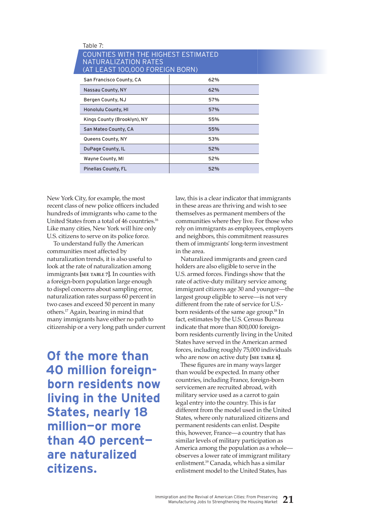| Table 7:                                                                                       |     |  |  |  |  |  |  |
|------------------------------------------------------------------------------------------------|-----|--|--|--|--|--|--|
| COUNTIES WITH THE HIGHEST ESTIMATED<br>NATURALIZATION RATES<br>(AT LEAST 100,000 FOREIGN BORN) |     |  |  |  |  |  |  |
| San Francisco County, CA                                                                       | 62% |  |  |  |  |  |  |
| Nassau County, NY                                                                              | 62% |  |  |  |  |  |  |
| Bergen County, NJ                                                                              | 57% |  |  |  |  |  |  |
| Honolulu County, HI                                                                            | 57% |  |  |  |  |  |  |
| Kings County (Brooklyn), NY                                                                    | 55% |  |  |  |  |  |  |
| San Mateo County, CA                                                                           | 55% |  |  |  |  |  |  |
| Queens County, NY                                                                              | 53% |  |  |  |  |  |  |
| DuPage County, IL                                                                              | 52% |  |  |  |  |  |  |
| Wayne County, MI                                                                               | 52% |  |  |  |  |  |  |
| Pinellas County, FL                                                                            | 52% |  |  |  |  |  |  |

New York City, for example, the most recent class of new police officers included hundreds of immigrants who came to the United States from a total of 46 countries.16 Like many cities, New York will hire only U.S. citizens to serve on its police force.

 To understand fully the American communities most affected by naturalization trends, it is also useful to look at the rate of naturalization among immigrants **[see table 7]**. In counties with a foreign-born population large enough to dispel concerns about sampling error, naturalization rates surpass 60 percent in two cases and exceed 50 percent in many others.17 Again, bearing in mind that many immigrants have either no path to citizenship or a very long path under current

**Of the more than 40 million foreignborn residents now living in the United States, nearly 18 million—or more than 40 percent are naturalized citizens.**

law, this is a clear indicator that immigrants in these areas are thriving and wish to see themselves as permanent members of the communities where they live. For those who rely on immigrants as employees, employers and neighbors, this commitment reassures them of immigrants' long-term investment in the area.

Naturalized immigrants and green card holders are also eligible to serve in the U.S. armed forces. Findings show that the rate of active-duty military service among immigrant citizens age 30 and younger—the largest group eligible to serve—is not very different from the rate of service for U.S. born residents of the same age group.18 In fact, estimates by the U.S. Census Bureau indicate that more than 800,000 foreignborn residents currently living in the United States have served in the American armed forces, including roughly 75,000 individuals who are now on active duty **[see table 8]**.

These figures are in many ways larger than would be expected. In many other countries, including France, foreign-born servicemen are recruited abroad, with military service used as a carrot to gain legal entry into the country. This is far different from the model used in the United States, where only naturalized citizens and permanent residents can enlist. Despite this, however, France—a country that has similar levels of military participation as America among the population as a whole observes a lower rate of immigrant military enlistment.19 Canada, which has a similar enlistment model to the United States, has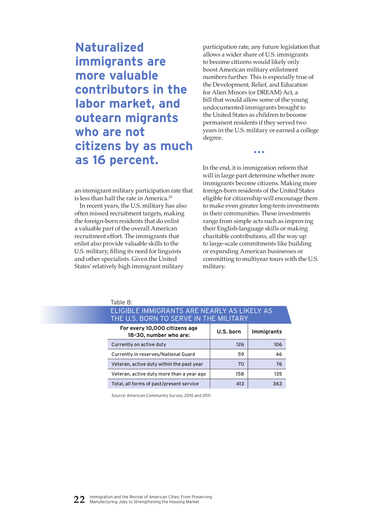**Naturalized immigrants are more valuable contributors in the labor market, and outearn migrants who are not citizens by as much as 16 percent.**

participation rate, any future legislation that allows a wider share of U.S. immigrants to become citizens would likely only boost American military enlistment numbers further. This is especially true of the Development, Relief, and Education for Alien Minors (or DREAM) Act, a bill that would allow some of the young undocumented immigrants brought to the United States as children to become permanent residents if they served two years in the U.S. military or earned a college degree.

•••

an immigrant military participation rate that is less than half the rate in America.20

In recent years, the U.S. military has also often missed recruitment targets, making the foreign-born residents that do enlist a valuable part of the overall American recruitment effort. The immigrants that enlist also provide valuable skills to the U.S. military, filling its need for linguists and other specialists. Given the United States' relatively high immigrant military

In the end, it is immigration reform that will in large part determine whether more immigrants become citizens. Making more foreign-born residents of the United States eligible for citizenship will encourage them to make even greater long-term investments in their communities. These investments range from simple acts such as improving their English-language skills or making charitable contributions, all the way up to large-scale commitments like building or expanding American businesses or committing to multiyear tours with the U.S. military.

| Table 8:                                                                              |           |                   |  |  |  |  |  |
|---------------------------------------------------------------------------------------|-----------|-------------------|--|--|--|--|--|
| ELIGIBLE IMMIGRANTS ARE NEARLY AS LIKELY AS<br>THE U.S. BORN TO SERVE IN THE MILITARY |           |                   |  |  |  |  |  |
| For every 10,000 citizens age<br>18-30, number who are:                               | U.S. born | <b>Immigrants</b> |  |  |  |  |  |
| Currently on active duty                                                              | 126       | 106               |  |  |  |  |  |
| Currently in reserves/National Guard                                                  | 59        | 46                |  |  |  |  |  |
| Veteran, active duty within the past year                                             | 70        | 76                |  |  |  |  |  |
| Veteran, active duty more than a year ago                                             | 158       | 135               |  |  |  |  |  |
| Total, all forms of past/present service                                              | 413       | 363               |  |  |  |  |  |

Source: American Community Survey, 2010 and 2011.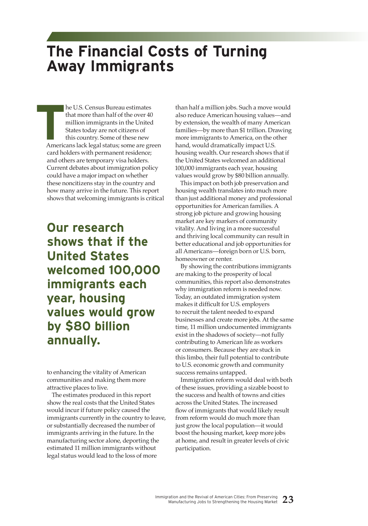# **The Financial Costs of Turning Away Immigrants**

**Example 1** he U.S. Census Bureau estimates that more than half of the over 40 million immigrants in the United States today are not citizens of this country. Some of these new Americans lack legal status; some are green card holders with permanent residence; and others are temporary visa holders. Current debates about immigration policy could have a major impact on whether these noncitizens stay in the country and how many arrive in the future. This report shows that welcoming immigrants is critical

**Our research shows that if the United States welcomed 100,000 immigrants each year, housing values would grow by \$80 billion annually.**

to enhancing the vitality of American communities and making them more attractive places to live.

The estimates produced in this report show the real costs that the United States would incur if future policy caused the immigrants currently in the country to leave, or substantially decreased the number of immigrants arriving in the future. In the manufacturing sector alone, deporting the estimated 11 million immigrants without legal status would lead to the loss of more

than half a million jobs. Such a move would also reduce American housing values—and by extension, the wealth of many American families—by more than \$1 trillion. Drawing more immigrants to America, on the other hand, would dramatically impact U.S. housing wealth. Our research shows that if the United States welcomed an additional 100,000 immigrants each year, housing values would grow by \$80 billion annually.

This impact on both job preservation and housing wealth translates into much more than just additional money and professional opportunities for American families. A strong job picture and growing housing market are key markers of community vitality. And living in a more successful and thriving local community can result in better educational and job opportunities for all Americans—foreign born or U.S. born, homeowner or renter.

By showing the contributions immigrants are making to the prosperity of local communities, this report also demonstrates why immigration reform is needed now. Today, an outdated immigration system makes it difficult for U.S. employers to recruit the talent needed to expand businesses and create more jobs. At the same time, 11 million undocumented immigrants exist in the shadows of society—not fully contributing to American life as workers or consumers. Because they are stuck in this limbo, their full potential to contribute to U.S. economic growth and community success remains untapped.

Immigration reform would deal with both of these issues, providing a sizable boost to the success and health of towns and cities across the United States. The increased flow of immigrants that would likely result from reform would do much more than just grow the local population—it would boost the housing market, keep more jobs at home, and result in greater levels of civic participation.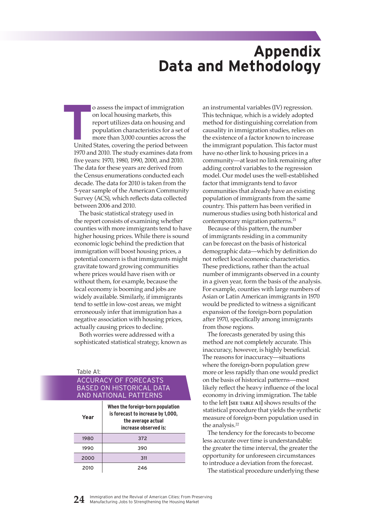# **Appendix Data and Methodology**

**TERC** of assess the impact of immigration on local housing markets, this report utilizes data on housing and population characteristics for a set of more than 3,000 counties across the United States, covering the period b on local housing markets, this report utilizes data on housing and population characteristics for a set of more than 3,000 counties across the 1970 and 2010. The study examines data from five years: 1970, 1980, 1990, 2000, and 2010. The data for these years are derived from the Census enumerations conducted each decade. The data for 2010 is taken from the 5-year sample of the American Community Survey (ACS), which reflects data collected between 2006 and 2010.

The basic statistical strategy used in the report consists of examining whether counties with more immigrants tend to have higher housing prices. While there is sound economic logic behind the prediction that immigration will boost housing prices, a potential concern is that immigrants might gravitate toward growing communities where prices would have risen with or without them, for example, because the local economy is booming and jobs are widely available. Similarly, if immigrants tend to settle in low-cost areas, we might erroneously infer that immigration has a negative association with housing prices, actually causing prices to decline.

Both worries were addressed with a sophisticated statistical strategy, known as

Table A1:

### Accuracy of forecasts based on historical data and national patterns

| Year | When the foreign-born population<br>is forecast to increase by 1,000,<br>the average actual<br>increase observed is: |
|------|----------------------------------------------------------------------------------------------------------------------|
| 1980 | 372                                                                                                                  |
| 1990 | 390                                                                                                                  |
| 2000 | 311                                                                                                                  |
| 2010 | 246                                                                                                                  |

an instrumental variables (IV) regression. This technique, which is a widely adopted method for distinguishing correlation from causality in immigration studies, relies on the existence of a factor known to increase the immigrant population. This factor must have no other link to housing prices in a community—at least no link remaining after adding control variables to the regression model. Our model uses the well-established factor that immigrants tend to favor communities that already have an existing population of immigrants from the same country. This pattern has been verified in numerous studies using both historical and contemporary migration patterns.<sup>21</sup>

Because of this pattern, the number of immigrants residing in a community can be forecast on the basis of historical demographic data—which by definition do not reflect local economic characteristics. These predictions, rather than the actual number of immigrants observed in a county in a given year, form the basis of the analysis. For example, counties with large numbers of Asian or Latin American immigrants in 1970 would be predicted to witness a significant expansion of the foreign-born population after 1970, specifically among immigrants from those regions.

The forecasts generated by using this method are not completely accurate. This inaccuracy, however, is highly beneficial. The reasons for inaccuracy—situations where the foreign-born population grew more or less rapidly than one would predict on the basis of historical patterns—most likely reflect the heavy influence of the local economy in driving immigration. The table to the left **[see table A1]** shows results of the statistical procedure that yields the synthetic measure of foreign-born population used in the analysis.<sup>22</sup>

The tendency for the forecasts to become less accurate over time is understandable: the greater the time interval, the greater the opportunity for unforeseen circumstances to introduce a deviation from the forecast. The statistical procedure underlying these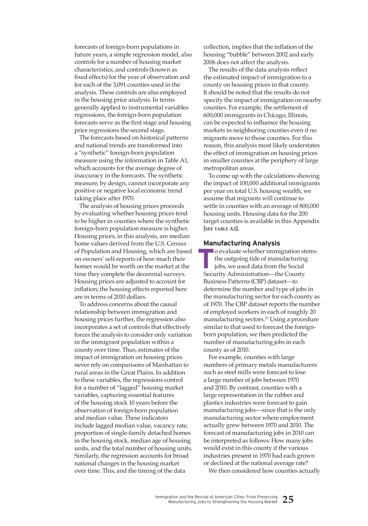forecasts of foreign-born populations in future years, a simple regression model, also controls for a number of housing market characteristics, and controls (known as fixed effects) for the year of observation and for each of the 3,091 counties used in the analysis. These controls are also employed in the housing price analysis. In terms generally applied to instrumental variables regressions, the foreign-born population forecasts serve as the first stage and housing price regressions the second stage.

The forecasts based on historical patterns and national trends are transformed into a "synthetic" foreign-born population measure using the information in Table A1, which accounts for the average degree of inaccuracy in the forecasts. The synthetic measure, by design, cannot incorporate any positive or negative local economic trend taking place after 1970.

The analysis of housing prices proceeds by evaluating whether housing prices tend to be higher in counties where the synthetic foreign-born population measure is higher. Housing prices, in this analysis, are median home values derived from the U.S. Census of Population and Housing, which are based on owners' self-reports of how much their homes would be worth on the market at the time they complete the decennial surveys. Housing prices are adjusted to account for inflation; the housing effects reported here are in terms of 2010 dollars.

To address concerns about the causal relationship between immigration and housing prices further, the regression also incorporates a set of controls that effectively forces the analysis to consider only variation in the immigrant population within a county over time. Thus, estimates of the impact of immigration on housing prices never rely on comparisons of Manhattan to rural areas in the Great Plains. In addition to these variables, the regressions control for a number of "lagged" housing market variables, capturing essential features of the housing stock 10 years before the observation of foreign-born population and median value. These indicators include lagged median value, vacancy rate, proportion of single-family detached homes in the housing stock, median age of housing units, and the total number of housing units. Similarly, the regression accounts for broad national changes in the housing market over time. This, and the timing of the data

collection, implies that the inflation of the housing "bubble" between 2002 and early 2006 does not affect the analysis.

The results of the data analysis reflect the estimated impact of immigration to a county on housing prices in that county. It should be noted that the results do not specify the impact of immigration on nearby counties. For example, the settlement of 600,000 immigrants in Chicago, Illinois, can be expected to influence the housing markets in neighboring counties even if no migrants move to those counties. For this reason, this analysis most likely understates the effect of immigration on housing prices in smaller counties at the periphery of large metropolitan areas.

To come up with the calculations showing the impact of 100,000 additional immigrants per year on total U.S. housing wealth, we assume that migrants will continue to settle in counties with an average of 800,000 housing units. Housing data for the 200 target counties is available in this Appendix **[see table A2].**

#### **Manufacturing Analysis**

 **T** o evaluate whether immigration stems the outgoing tide of manufacturing jobs, we used data from the Social Security Administration—the County Business Patterns (CBP) dataset—to determine the number and type of jobs in the manufacturing sector for each county as of 1970. The CBP dataset reports the number of employed workers in each of roughly 20 manufacturing sectors.23 Using a procedure similar to that used to forecast the foreignborn population, we then predicted the number of manufacturing jobs in each county as of 2010.

For example, counties with large numbers of primary metals manufacturers such as steel mills were forecast to lose a large number of jobs between 1970 and 2010. By contrast, counties with a large representation in the rubber and plastics industries were forecast to gain manufacturing jobs—since that is the only manufacturing sector where employment actually grew between 1970 and 2010. The forecast of manufacturing jobs in 2010 can be interpreted as follows: How many jobs would exist in this county if the various industries present in 1970 had each grown or declined at the national average rate?

We then considered how counties actually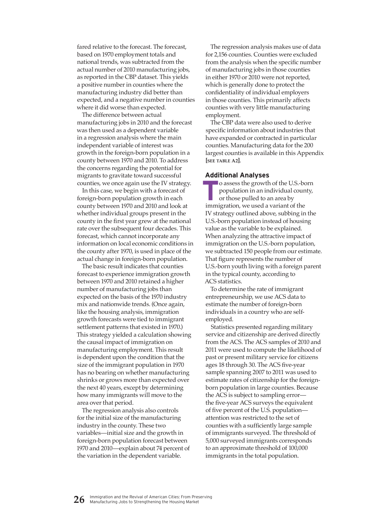fared relative to the forecast. The forecast, based on 1970 employment totals and national trends, was subtracted from the actual number of 2010 manufacturing jobs, as reported in the CBP dataset. This yields a positive number in counties where the manufacturing industry did better than expected, and a negative number in counties where it did worse than expected.

The difference between actual manufacturing jobs in 2010 and the forecast was then used as a dependent variable in a regression analysis where the main independent variable of interest was growth in the foreign-born population in a county between 1970 and 2010. To address the concerns regarding the potential for migrants to gravitate toward successful counties, we once again use the IV strategy.

In this case, we begin with a forecast of foreign-born population growth in each county between 1970 and 2010 and look at whether individual groups present in the county in the first year grew at the national rate over the subsequent four decades. This forecast, which cannot incorporate any information on local economic conditions in the county after 1970, is used in place of the actual change in foreign-born population.

The basic result indicates that counties forecast to experience immigration growth between 1970 and 2010 retained a higher number of manufacturing jobs than expected on the basis of the 1970 industry mix and nationwide trends. (Once again, like the housing analysis, immigration growth forecasts were tied to immigrant settlement patterns that existed in 1970.) This strategy yielded a calculation showing the causal impact of immigration on manufacturing employment. This result is dependent upon the condition that the size of the immigrant population in 1970 has no bearing on whether manufacturing shrinks or grows more than expected over the next 40 years, except by determining how many immigrants will move to the area over that period.

The regression analysis also controls for the initial size of the manufacturing industry in the county. These two variables—initial size and the growth in foreign-born population forecast between 1970 and 2010—explain about 74 percent of the variation in the dependent variable.

The regression analysis makes use of data for 2,156 counties. Counties were excluded from the analysis when the specific number of manufacturing jobs in those counties in either 1970 or 2010 were not reported, which is generally done to protect the confidentiality of individual employers in those counties. This primarily affects counties with very little manufacturing employment.

The CBP data were also used to derive specific information about industries that have expanded or contracted in particular counties. Manufacturing data for the 200 largest counties is available in this Appendix **[see table A2]**.

#### **Additional Analyses**

 $\blacksquare$  o assess the growth of the U.S.-born population in an individual county, or those pulled to an area by immigration, we used a variant of the IV strategy outlined above, subbing in the U.S.-born population instead of housing value as the variable to be explained. When analyzing the attractive impact of immigration on the U.S.-born population, we subtracted 150 people from our estimate. That figure represents the number of U.S.-born youth living with a foreign parent in the typical county, according to ACS statistics.

To determine the rate of immigrant entrepreneurship, we use ACS data to estimate the number of foreign-born individuals in a country who are selfemployed.

Statistics presented regarding military service and citizenship are derived directly from the ACS. The ACS samples of 2010 and 2011 were used to compute the likelihood of past or present military service for citizens ages 18 through 30. The ACS five-year sample spanning 2007 to 2011 was used to estimate rates of citizenship for the foreignborn population in large counties. Because the ACS is subject to sampling error the five-year ACS surveys the equivalent of five percent of the U.S. population attention was restricted to the set of counties with a sufficiently large sample of immigrants surveyed. The threshold of 5,000 surveyed immigrants corresponds to an approximate threshold of 100,000 immigrants in the total population.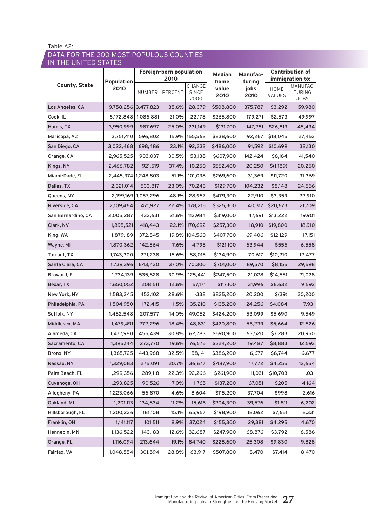### Data for the 200 most populous counties in the United States

|                      | <b>Population</b><br>2010 | Foreign-born population<br>2010 |         |                                | <b>Median</b>         | <b>Manufac-</b>        |                | <b>Contribution of</b><br>immigration to: |
|----------------------|---------------------------|---------------------------------|---------|--------------------------------|-----------------------|------------------------|----------------|-------------------------------------------|
| <b>County, State</b> |                           | NUMBER                          | PERCENT | CHANGE<br><b>SINCE</b><br>2000 | home<br>value<br>2010 | turing<br>jobs<br>2010 | HOME<br>VALUES | MANUFAC-<br><b>TURING</b><br><b>JOBS</b>  |
| Los Angeles, CA      | 9,758,256 3,477,823       |                                 | 35.6%   | 28,379                         | \$508,800             | 375,787                | \$3,292        | 159,980                                   |
| Cook, IL             |                           | 5,172,848   1,086,881           | 21.0%   | 22,178                         | \$265,800             | 179,271                | \$2,573        | 49,997                                    |
| Harris, TX           | 3,950,999                 | 987,697                         | 25.0%   | 231,149                        | \$131,700             | 147,281                | \$26,813       | 45,434                                    |
| Maricopa, AZ         | 3,751,410                 | 596,802                         | 15.9%   | 155,562                        | \$238,600             | 92,267                 | \$18,045       | 27,453                                    |
| San Diego, CA        | 3,022,468                 | 698,486                         | 23.1%   | 92,232                         | \$486,000             | 91,592                 | \$10,699       | 32,130                                    |
| Orange, CA           | 2,965,525                 | 903,037                         | 30.5%   | 53,138                         | \$607,900             | 142,424                | \$6,164        | 41,540                                    |
| Kings, NY            | 2,466,782                 | 921,519                         | 37.4%   | $-10,250$                      | \$562,400             | 20,250                 | \$(1,189)      | 20,250                                    |
| Miami-Dade, FL       | 2,445,374 1,248,803       |                                 | 51.1%   | 101,038                        | \$269,600             | 31,369                 | \$11,720       | 31,369                                    |
| Dallas, TX           | 2,321,014                 | 533,817                         | 23.0%   | 70,243                         | \$129,700             | 104,232                | \$8,148        | 24,556                                    |
| Queens, NY           |                           | 2,199,169   1,057,296           | 48.1%   | 28,957                         | \$479,300             | 22,910                 | \$3,359        | 22,910                                    |
| Riverside, CA        | 2,109,464                 | 471,927                         | 22.4%   | 178,215                        | \$325,300             | 40,317                 | \$20,673       | 21,709                                    |
| San Bernardino, CA   | 2,005,287                 | 432,631                         | 21.6%   | 113,984                        | \$319,000             | 47,691                 | \$13,222       | 19,901                                    |
| Clark, NV            | 1,895,521                 | 418,443                         | 22.1%   | 170,692                        | \$257,300             | 18,910                 | \$19,800       | 18,910                                    |
| King, WA             | 1,879,189                 | 372,845                         | 19.8%   | 104,560                        | \$407,700             | 69,406                 | \$12,129       | 17,151                                    |
| Wayne, MI            | 1,870,362                 | 142,564                         | 7.6%    | 4,795                          | \$121,100             | 63,944                 | \$556          | 6,558                                     |
| Tarrant, TX          | 1,743,300                 | 271,238                         | 15.6%   | 88,015                         | \$134,900             | 70,617                 | \$10,210       | 12,477                                    |
| Santa Clara, CA      | 1,739,396                 | 643,430                         | 37.0%   | 70,300                         | \$701,000             | 89,570                 | \$8,155        | 29,598                                    |
| Broward, FL          | 1,734,139                 | 535,828                         | 30.9%   | 125,441                        | \$247,500             | 21,028                 | \$14,551       | 21,028                                    |
| Bexar, TX            | 1,650,052                 | 208,511                         | 12.6%   | 57,171                         | \$117,100             | 31,996                 | \$6,632        | 9,592                                     |
| New York, NY         | 1,583,345                 | 452,102                         | 28.6%   | $-338$                         | \$825,200             | 20,200                 | $$^{(39)}$     | 20,200                                    |
| Philadelphia, PA     | 1,504,950                 | 172,415                         | 11.5%   | 35,210                         | \$135,200             | 24,256                 | \$4,084        | 7,931                                     |
| Suffolk, NY          | 1,482,548                 | 207,577                         | 14.0%   | 49,052                         | \$424,200             | 53,099                 | \$5,690        | 9,549                                     |
| Middlesex, MA        | 1,479,491                 | 272,296                         | 18.4%   | 48,831                         | \$420,800             | 56,239                 | \$5,664        | 12,526                                    |
| Alameda, CA          | 1,477,980                 | 455,439                         | 30.8%   | 62,783                         | \$590,900             | 63,520                 | \$7,283        | 20,950                                    |
| Sacramento, CA       | 1,395,144                 | 273,770                         | 19.6%   | 76,575                         | \$324,200             | 19,487                 | \$8,883        | 12,593                                    |
| Bronx, NY            | 1,365,725                 | 443,968                         | 32.5%   | 58,141                         | \$386,200             | 6,677                  | \$6,744        | 6,677                                     |
| Nassau, NY           | 1,329,083                 | 275,091                         | 20.7%   | 36,677                         | \$487,900             | 17,772                 | \$4,255        | 12,654                                    |
| Palm Beach, FL       | 1,299,356                 | 289,118                         | 22.3%   | 92,266                         | \$261,900             | 11,031                 | \$10,703       | 11,031                                    |
| Cuyahoga, OH         | 1,293,825                 | 90,526                          | 7.0%    | 1,765                          | \$137,200             | 67,051                 | \$205          | 4,164                                     |
| Allegheny, PA        | 1,223,066                 | 56,870                          | 4.6%    | 8,604                          | \$115,200             | 37,704                 | \$998          | 2,616                                     |
| Oakland, MI          | 1,201,113                 | 134,834                         | 11.2%   | 15,616                         | \$204,300             | 39,576                 | \$1,811        | 6,202                                     |
| Hillsborough, FL     | 1,200,236                 | 181,108                         | 15.1%   | 65,957                         | \$198,900             | 18,062                 | \$7,651        | 8,331                                     |
| Franklin, OH         | 1,141,117                 | 101,511                         | 8.9%    | 37,024                         | \$155,300             | 29,381                 | \$4,295        | 4,670                                     |
| Hennepin, MN         | 1,136,522                 | 143,183                         | 12.6%   | 32,687                         | \$247,900             | 68,876                 | \$3,792        | 6,586                                     |
| Orange, FL           | 1,116,094                 | 213,644                         | 19.1%   | 84,740                         | \$228,600             | 25,308                 | \$9,830        | 9,828                                     |
| Fairfax, VA          | 1,048,554                 | 301,594                         | 28.8%   | 63,917                         | \$507,800             | 8,470                  | \$7,414        | 8,470                                     |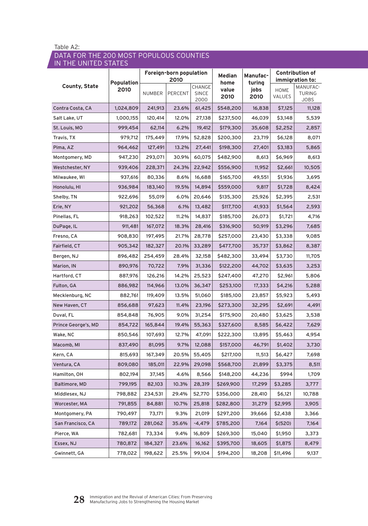### Data for the 200 most populous counties in the United States

|                      | <b>Population</b><br>2010 | Foreign-born population<br>2010 |                |                                | <b>Median</b><br>home | <b>Manufac-</b><br>turing |                       | <b>Contribution of</b><br>immigration to: |
|----------------------|---------------------------|---------------------------------|----------------|--------------------------------|-----------------------|---------------------------|-----------------------|-------------------------------------------|
| <b>County, State</b> |                           | NUMBER                          | <b>PERCENT</b> | CHANGE<br><b>SINCE</b><br>2000 | value<br>2010         | jobs<br>2010              | <b>HOME</b><br>VALUES | MANUFAC-<br><b>TURING</b><br><b>JOBS</b>  |
| Contra Costa, CA     | 1,024,809                 | 241,913                         | 23.6%          | 61,425                         | \$548,200             | 16,838                    | \$7,125               | 11,128                                    |
| Salt Lake, UT        | 1,000,155                 | 120,414                         | 12.0%          | 27,138                         | \$237,500             | 46,039                    | \$3,148               | 5,539                                     |
| St. Louis, MO        | 999,454                   | 62,114                          | 6.2%           | 19,412                         | \$179,300             | 35,608                    | \$2,252               | 2,857                                     |
| Travis, TX           | 979,712                   | 175,449                         | 17.9%          | 52,828                         | \$200,300             | 23,719                    | \$6,128               | 8,071                                     |
| Pima, AZ             | 964,462                   | 127,491                         | 13.2%          | 27,441                         | \$198,300             | 27,401                    | \$3,183               | 5,865                                     |
| Montgomery, MD       | 947,230                   | 293,071                         | 30.9%          | 60,075                         | \$482,900             | 8,613                     | \$6,969               | 8,613                                     |
| Westchester, NY      | 939,406                   | 228,371                         | 24.3%          | 22,942                         | \$556,900             | 11,952                    | \$2,661               | 10,505                                    |
| Milwaukee, WI        | 937,616                   | 80,336                          | 8.6%           | 16,688                         | \$165,700             | 49,551                    | \$1,936               | 3,695                                     |
| Honolulu, HI         | 936,984                   | 183,140                         | 19.5%          | 14,894                         | \$559,000             | 9,817                     | \$1,728               | 8,424                                     |
| Shelby, TN           | 922,696                   | 55,019                          | 6.0%           | 20,646                         | \$135,300             | 25,926                    | \$2,395               | 2,531                                     |
| Erie, NY             | 921,202                   | 56,368                          | 6.1%           | 13,482                         | \$117,700             | 41,933                    | \$1,564               | 2,593                                     |
| Pinellas, FL         | 918,263                   | 102,522                         | 11.2%          | 14,837                         | \$185,700             | 26,073                    | \$1,721               | 4,716                                     |
| DuPage, IL           | 911,481                   | 167,072                         | 18.3%          | 28,416                         | \$316,900             | 50,919                    | \$3,296               | 7,685                                     |
| Fresno, CA           | 908,830                   | 197,495                         | 21.7%          | 28,778                         | \$257,000             | 23,430                    | \$3,338               | 9,085                                     |
| Fairfield, CT        | 905,342                   | 182,327                         | 20.1%          | 33,289                         | \$477,700             | 35,737                    | \$3,862               | 8,387                                     |
| Bergen, NJ           | 896,482                   | 254,459                         | 28.4%          | 32,158                         | \$482,300             | 33,494                    | \$3,730               | 11,705                                    |
| Marion, IN           | 890,976                   | 70,722                          | 7.9%           | 31,336                         | \$122,200             | 44,702                    | \$3,635               | 3,253                                     |
| Hartford, CT         | 887,976                   | 126,216                         | 14.2%          | 25,523                         | \$247,400             | 47,270                    | \$2,961               | 5,806                                     |
| Fulton, GA           | 886,982                   | 114,966                         | 13.0%          | 36,347                         | \$253,100             | 17,333                    | \$4,216               | 5,288                                     |
| Mecklenburg, NC      | 882,761                   | 119,409                         | 13.5%          | 51,060                         | \$185,100             | 23,857                    | \$5,923               | 5,493                                     |
| New Haven, CT        | 856,688                   | 97,623                          | 11.4%          | 23,196                         | \$273,300             | 32,295                    | \$2,691               | 4,491                                     |
| Duval, FL            | 854,848                   | 76,905                          | 9.0%           | 31,254                         | \$175,900             | 20,480                    | \$3,625               | 3,538                                     |
| Prince George's, MD  | 854,722                   | 165,844                         | 19.4%          | 55,363                         | \$327,600             | 8,585                     | \$6,422               | 7,629                                     |
| Wake, NC             | 850,546                   | 107,693                         | 12.7%          | 47,091                         | \$222,300             | 13,895                    | \$5,463               | 4,954                                     |
| Macomb, MI           | 837,490                   | 81,095                          | 9.7%           | 12,088                         | \$157,000             | 46,791                    | \$1,402               | 3,730                                     |
| Kern, CA             | 815,693                   | 167,349                         | 20.5%          | 55,405                         | \$217,100             | 11,513                    | \$6,427               | 7,698                                     |
| Ventura, CA          | 809,080                   | 185,011                         | 22.9%          | 29,098                         | \$568,700             | 21,899                    | \$3,375               | 8,511                                     |
| Hamilton, OH         | 802,194                   | 37,145                          | 4.6%           | 8,566                          | \$148,200             | 44,236                    | \$994                 | 1,709                                     |
| Baltimore, MD        | 799,195                   | 82,103                          | 10.3%          | 28,319                         | \$269,900             | 17,299                    | \$3,285               | 3,777                                     |
| Middlesex, NJ        | 798,882                   | 234,531                         | 29.4%          | 52,770                         | \$356,000             | 28,410                    | \$6,121               | 10,788                                    |
| Worcester, MA        | 791,855                   | 84,881                          | 10.7%          | 25,818                         | \$282,800             | 31,279                    | \$2,995               | 3,905                                     |
| Montgomery, PA       | 790,497                   | 73,171                          | 9.3%           | 21,019                         | \$297,200             | 39,666                    | \$2,438               | 3,366                                     |
| San Francisco, CA    | 789,172                   | 281,062                         | 35.6%          | -4,479                         | \$785,200             | 7,164                     | \$ (520)              | 7,164                                     |
| Pierce, WA           | 782,681                   | 73,334                          | 9.4%           | 16,809                         | \$269,300             | 15,040                    | \$1,950               | 3,373                                     |
| Essex, NJ            | 780,872                   | 184,327                         | 23.6%          | 16,162                         | \$395,700             | 18,605                    | \$1,875               | 8,479                                     |
| Gwinnett, GA         | 778,022                   | 198,622                         | 25.5%          | 99,104                         | \$194,200             | 18,208                    | \$11,496              | 9,137                                     |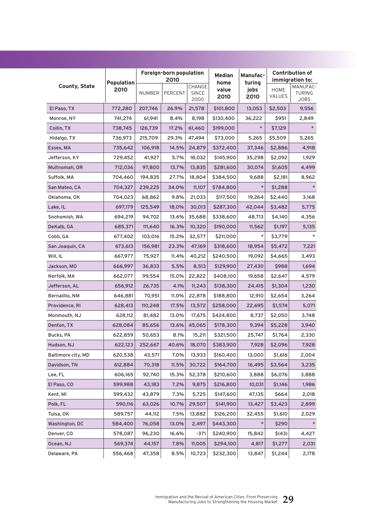|                      |                    | Foreign-born population<br>2010 |         |                         | Manufac-<br>turing    |              | <b>Contribution of</b><br>immigration to: |                                   |
|----------------------|--------------------|---------------------------------|---------|-------------------------|-----------------------|--------------|-------------------------------------------|-----------------------------------|
| <b>County, State</b> | Population<br>2010 | NUMBER                          | PERCENT | CHANGE<br>SINCE<br>2000 | home<br>value<br>2010 | jobs<br>2010 | <b>HOME</b><br>VALUES                     | MANUFAC-<br><b>TURING</b><br>JOBS |
| El Paso, TX          | 772,280            | 207,746                         | 26.9%   | 21,578                  | \$101,800             | 13,053       | \$2,503                                   | 9,556                             |
| Monroe, NY           | 741,274            | 61,941                          | 8.4%    | 8,198                   | \$130,400             | 36,222       | \$951                                     | 2,849                             |
| Collin, TX           | 738,745            | 126,739                         | 17.2%   | 61,460                  | \$199,000             | $\ast$       | \$7,129                                   | $\ast$                            |
| Hidalgo, TX          | 736,973            | 215,709                         | 29.3%   | 47,494                  | \$73,000              | 5,265        | \$5,509                                   | 5,265                             |
| Essex, MA            | 735,642            | 106,918                         | 14.5%   | 24,879                  | \$372,400             | 37,346       | \$2,886                                   | 4,918                             |
| Jefferson, KY        | 729,452            | 41,927                          | 5.7%    | 18,032                  | \$145,900             | 35,298       | \$2,092                                   | 1,929                             |
| Multnomah, OR        | 712,036            | 97,800                          | 13.7%   | 13,835                  | \$281,600             | 30,074       | \$1,605                                   | 4,499                             |
| Suffolk, MA          | 704,460            | 194,835                         | 27.7%   | 18,804                  | \$384,500             | 9,688        | \$2,181                                   | 8,962                             |
| San Mateo, CA        | 704,327            | 239,225                         | 34.0%   | 11,107                  | \$784,800             | $\ast$       | \$1,288                                   |                                   |
| Oklahoma, OK         | 704,023            | 68,862                          | 9.8%    | 21,033                  | \$117,500             | 19,264       | \$2,440                                   | 3,168                             |
| Lake, IL             | 697,179            | 125,549                         | 18.0%   | 30,013                  | \$287,300             | 42,044       | \$3,482                                   | 5,775                             |
| Snohomish, WA        | 694,219            | 94,702                          | 13.6%   | 35,688                  | \$338,600             | 48,713       | \$4,140                                   | 4,356                             |
| DeKalb, GA           | 685,371            | 111,640                         | 16.3%   | 10,320                  | \$190,000             | 11,562       | \$1,197                                   | 5,135                             |
| Cobb, GA             | 677,402            | 103,016                         | 15.2%   | 32,577                  | \$211,000             |              | \$3,779                                   |                                   |
| San Joaquin, CA      | 673,613            | 156,981                         | 23.3%   | 47,169                  | \$318,600             | 18,954       | \$5,472                                   | 7,221                             |
| Will, IL             | 667,977            | 75,927                          | 11.4%   | 40,212                  | \$240,500             | 19,092       | \$4,665                                   | 3,493                             |
| Jackson, MO          | 666,997            | 36,833                          | 5.5%    | 8,513                   | \$129,900             | 27,430       | \$988                                     | 1,694                             |
| Norfolk, MA          | 662,077            | 99,554                          | 15.0%   | 22,822                  | \$408,100             | 19,658       | \$2,647                                   | 4,579                             |
| Jefferson, AL        | 656,912            | 26,735                          | 4.1%    | 11,243                  | \$138,300             | 24,415       | \$1,304                                   | 1,230                             |
| Bernalillo, NM       | 646,881            | 70,951                          | 11.0%   | 22,878                  | \$188,800             | 12,910       | \$2,654                                   | 3,264                             |
| Providence, RI       | 628,413            | 110,248                         | 17.5%   | 13,572                  | \$258,000             | 22,695       | \$1,574                                   | 5,071                             |
| Monmouth, NJ         | 628,112            | 81,482                          | 13.0%   | 17,675                  | \$424,800             | 8,737        | \$2,050                                   | 3,748                             |
| Denton, TX           | 628,084            | 85,656                          | 13.6%   | 45,065                  | \$178,300             | 9,394        | \$5,228                                   | 3,940                             |
| Bucks, PA            | 622,859            | 50,653                          | 8.1%    | 15,211                  | \$321,500             | 25,747       | \$1,764                                   | 2,330                             |
| Hudson, NJ           | 622,123            | 252,667                         | 40.6%   | 18,070                  | \$383,900             | 7,928        | \$2,096                                   | 7,928                             |
| Baltimore city, MD   | 620,538            | 43,571                          | 7.0%    | 13,933                  | \$160,400             | 13,000       | \$1,616                                   | 2,004                             |
| Davidson, TN         | 612,884            | 70,318                          | 11.5%   | 30,722                  | \$164,700             | 16,495       | \$3,564                                   | 3,235                             |
| Lee, FL              | 606,165            | 92,740                          | 15.3%   | 52,378                  | \$210,600             | 3,888        | \$6,076                                   | 3,888                             |
| El Paso, CO          | 599,988            | 43,183                          | 7.2%    | 9,875                   | \$216,800             | 10,031       | \$1,146                                   | 1,986                             |
| Kent, MI             | 599,432            | 43,879                          | 7.3%    | 5,725                   | \$147,600             | 47,135       | \$664                                     | 2,018                             |
| Polk, FL             | 590,116            | 63,026                          | 10.7%   | 29,507                  | \$141,900             | 13,427       | \$3,423                                   | 2,899                             |
| Tulsa, OK            | 589,757            | 44,112                          | 7.5%    | 13,882                  | \$126,200             | 32,455       | \$1,610                                   | 2,029                             |
| Washington, DC       | 584,400            | 76,058                          | 13.0%   | 2,497                   | \$443,300             |              | \$290                                     |                                   |
| Denver, CO           | 578,087            | 96,230                          | 16.6%   | $-371$                  | \$240,900             | 15,842       | \$(43)                                    | 4,427                             |
| Ocean, NJ            | 569,374            | 44,157                          | 7.8%    | 11,005                  | \$294,100             | 4,817        | \$1,277                                   | 2,031                             |
| Delaware, PA         | 556,468            | 47,358                          | 8.5%    | 10,723                  | \$232,300             | 13,847       | \$1,244                                   | 2,178                             |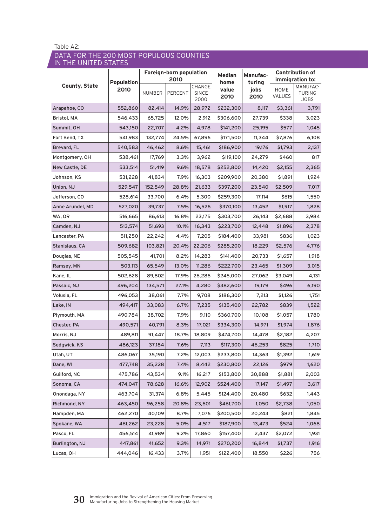### Data for the 200 most populous counties in the United States

| <b>County, State</b> | <b>Population</b><br>2010 | Foreign-born population<br>2010 |         |                         | Median                | <b>Manufac-</b><br>turing | <b>Contribution of</b><br>immigration to: |                                   |
|----------------------|---------------------------|---------------------------------|---------|-------------------------|-----------------------|---------------------------|-------------------------------------------|-----------------------------------|
|                      |                           | NUMBER                          | PERCENT | CHANGE<br>SINCE<br>2000 | home<br>value<br>2010 | jobs<br>2010              | <b>HOME</b><br>VALUES                     | MANUFAC-<br><b>TURING</b><br>JOBS |
| Arapahoe, CO         | 552,860                   | 82,414                          | 14.9%   | 28,972                  | \$232,300             | 8,117                     | \$3,361                                   | 3,791                             |
| Bristol, MA          | 546,433                   | 65,725                          | 12.0%   | 2,912                   | \$306,600             | 27,739                    | \$338                                     | 3,023                             |
| Summit, OH           | 543,150                   | 22,707                          | 4.2%    | 4,978                   | \$141,200             | 25,195                    | \$577                                     | 1,045                             |
| Fort Bend, TX        | 541,983                   | 132,774                         | 24.5%   | 67,896                  | \$171,500             | 11,344                    | \$7,876                                   | 6,108                             |
| Brevard, FL          | 540,583                   | 46,462                          | 8.6%    | 15,461                  | \$186,900             | 19,176                    | \$1,793                                   | 2,137                             |
| Montgomery, OH       | 538,461                   | 17,769                          | 3.3%    | 3,962                   | \$119,100             | 24,279                    | \$460                                     | 817                               |
| New Castle, DE       | 533,514                   | 51,419                          | 9.6%    | 18,578                  | \$252,800             | 14,420                    | \$2,155                                   | 2,365                             |
| Johnson, KS          | 531,228                   | 41,834                          | 7.9%    | 16,303                  | \$209,900             | 20,380                    | \$1,891                                   | 1,924                             |
| Union, NJ            | 529,547                   | 152,549                         | 28.8%   | 21,633                  | \$397,200             | 23,540                    | \$2,509                                   | 7,017                             |
| Jefferson, CO        | 528,614                   | 33,700                          | 6.4%    | 5,300                   | \$259,300             | 17,114                    | \$615                                     | 1,550                             |
| Anne Arundel, MD     | 527,020                   | 39,737                          | 7.5%    | 16,526                  | \$370,100             | 13,452                    | \$1,917                                   | 1,828                             |
| WA, OR               | 516,665                   | 86,613                          | 16.8%   | 23,175                  | \$303,700             | 26,143                    | \$2,688                                   | 3,984                             |
| Camden, NJ           | 513,574                   | 51,693                          | 10.1%   | 16,343                  | \$223,700             | 12,448                    | \$1,896                                   | 2,378                             |
| Lancaster, PA        | 511,250                   | 22,242                          | 4.4%    | 7,205                   | \$184,400             | 33,981                    | \$836                                     | 1,023                             |
| Stanislaus, CA       | 509,682                   | 103,821                         | 20.4%   | 22,206                  | \$285,200             | 18,229                    | \$2,576                                   | 4,776                             |
| Douglas, NE          | 505,545                   | 41,701                          | 8.2%    | 14,283                  | \$141,400             | 20,733                    | \$1,657                                   | 1,918                             |
| Ramsey, MN           | 503,113                   | 65,549                          | 13.0%   | 11,286                  | \$222,700             | 23,465                    | \$1,309                                   | 3,015                             |
| Kane, IL             | 502,628                   | 89,802                          | 17.9%   | 26,286                  | \$245,000             | 27,062                    | \$3,049                                   | 4,131                             |
| Passaic, NJ          | 496,204                   | 134,571                         | 27.1%   | 4,280                   | \$382,600             | 19,179                    | \$496                                     | 6,190                             |
| Volusia, FL          | 496,053                   | 38,061                          | 7.7%    | 9,708                   | \$186,300             | 7,213                     | \$1,126                                   | 1,751                             |
| Lake, IN             | 494,417                   | 33,083                          | 6.7%    | 7,235                   | \$135,400             | 22,782                    | \$839                                     | 1,522                             |
| Plymouth, MA         | 490,784                   | 38,702                          | 7.9%    | 9,110                   | \$360,700             | 10,108                    | \$1,057                                   | 1,780                             |
| Chester, PA          | 490,571                   | 40,791                          | 8.3%    | 17,021                  | \$334,300             | 14,971                    | \$1,974                                   | 1,876                             |
| Morris, NJ           | 489,811                   | 91,447                          | 18.7%   | 18,809                  | \$474,700             | 14,478                    | \$2,182                                   | 4,207                             |
| Sedgwick, KS         | 486,123                   | 37,184                          | 7.6%    | 7,113                   | \$117,300             | 46,253                    | \$825                                     | 1,710                             |
| Utah, UT             | 486,067                   | 35,190                          | 7.2%    | 12,003                  | \$233,800             | 14,363                    | \$1,392                                   | 1,619                             |
| Dane, WI             | 477,748                   | 35,228                          | 7.4%    | 8,442                   | \$230,800             | 22,126                    | \$979                                     | 1,620                             |
| Guilford, NC         | 475,786                   | 43,534                          | 9.1%    | 16,217                  | \$153,800             | 30,888                    | \$1,881                                   | 2,003                             |
| Sonoma, CA           | 474,047                   | 78,628                          | 16.6%   | 12,902                  | \$524,400             | 17,147                    | \$1,497                                   | 3,617                             |
| Onondaga, NY         | 463,704                   | 31,374                          | 6.8%    | 5,445                   | \$124,400             | 20,480                    | \$632                                     | 1,443                             |
| Richmond, NY         | 463,450                   | 96,258                          | 20.8%   | 23,601                  | \$461,700             | 1,050                     | \$2,738                                   | 1,050                             |
| Hampden, MA          | 462,270                   | 40,109                          | 8.7%    | 7,076                   | \$200,500             | 20,243                    | \$821                                     | 1,845                             |
| Spokane, WA          | 461,262                   | 23,228                          | 5.0%    | 4,517                   | \$187,900             | 13,473                    | \$524                                     | 1,068                             |
| Pasco, FL            | 456,514                   | 41,989                          | 9.2%    | 17,860                  | \$157,400             | 2,437                     | \$2,072                                   | 1,931                             |
| Burlington, NJ       | 447,861                   | 41,652                          | 9.3%    | 14,971                  | \$270,200             | 16,844                    | \$1,737                                   | 1,916                             |
| Lucas, OH            | 444,046                   | 16,433                          | 3.7%    | 1,951                   | \$122,400             | 18,550                    | \$226                                     | 756                               |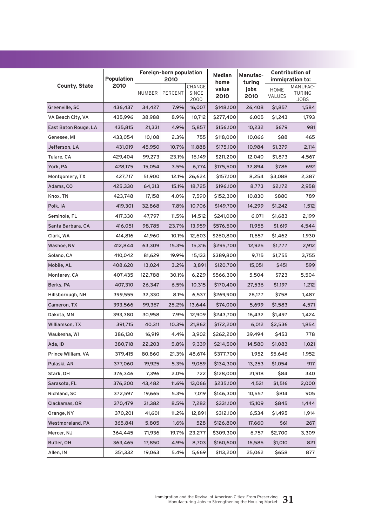| <b>County, State</b> | <b>Population</b> | Foreign-born population<br>2010 |         |                                | <b>Median</b><br>home | <b>Manufac-</b><br>turing | <b>Contribution of</b><br>immigration to: |                                          |  |
|----------------------|-------------------|---------------------------------|---------|--------------------------------|-----------------------|---------------------------|-------------------------------------------|------------------------------------------|--|
|                      | 2010              | NUMBER                          | PERCENT | CHANGE<br><b>SINCE</b><br>2000 | value<br>2010         | jobs<br>2010              | HOME<br>VALUES                            | MANUFAC-<br><b>TURING</b><br><b>JOBS</b> |  |
| Greenville, SC       | 436,437           | 34,427                          | 7.9%    | 16,007                         | \$148,100             | 26,408                    | \$1,857                                   | 1,584                                    |  |
| VA Beach City, VA    | 435,996           | 38,988                          | 8.9%    | 10,712                         | \$277,400             | 6,005                     | \$1,243                                   | 1,793                                    |  |
| East Baton Rouge, LA | 435,815           | 21,331                          | 4.9%    | 5,857                          | \$156,100             | 10,232                    | \$679                                     | 981                                      |  |
| Genesee, MI          | 433,054           | 10,108                          | 2.3%    | 755                            | \$118,000             | 10,066                    | \$88                                      | 465                                      |  |
| Jefferson, LA        | 431,019           | 45,950                          | 10.7%   | 11,888                         | \$175,100             | 10,984                    | \$1,379                                   | 2,114                                    |  |
| Tulare, CA           | 429,404           | 99,273                          | 23.1%   | 16,149                         | \$211,200             | 12,040                    | \$1,873                                   | 4,567                                    |  |
| York, PA             | 428,175           | 15,054                          | 3.5%    | 6,774                          | \$175,500             | 32,894                    | \$786                                     | 692                                      |  |
| Montgomery, TX       | 427,717           | 51,900                          | 12.1%   | 26,624                         | \$157,100             | 8,254                     | \$3,088                                   | 2,387                                    |  |
| Adams, CO            | 425,330           | 64,313                          | 15.1%   | 18,725                         | \$196,100             | 8,773                     | \$2,172                                   | 2,958                                    |  |
| Knox, TN             | 423,748           | 17,158                          | 4.0%    | 7,590                          | \$152,300             | 10,830                    | \$880                                     | 789                                      |  |
| Polk, IA             | 419,301           | 32,868                          | 7.8%    | 10,706                         | \$149,700             | 14,299                    | \$1,242                                   | 1,512                                    |  |
| Seminole, FL         | 417,330           | 47,797                          | 11.5%   | 14,512                         | \$241,000             | 6,071                     | \$1,683                                   | 2,199                                    |  |
| Santa Barbara, CA    | 416,051           | 98,785                          | 23.7%   | 13,959                         | \$576,500             | 11,955                    | \$1,619                                   | 4,544                                    |  |
| Clark, WA            | 414,816           | 41,960                          | 10.1%   | 12,603                         | \$260,800             | 11,657                    | \$1,462                                   | 1,930                                    |  |
| Washoe, NV           | 412,844           | 63,309                          | 15.3%   | 15,316                         | \$295,700             | 12,925                    | \$1,777                                   | 2,912                                    |  |
| Solano, CA           | 410,042           | 81,629                          | 19.9%   | 15,133                         | \$389,800             | 9,715                     | \$1,755                                   | 3,755                                    |  |
| Mobile, AL           | 408,620           | 13,024                          | 3.2%    | 3,891                          | \$120,700             | 15,051                    | \$451                                     | 599                                      |  |
| Monterey, CA         | 407,435           | 122,788                         | 30.1%   | 6,229                          | \$566,300             | 5,504                     | \$723                                     | 5,504                                    |  |
| Berks, PA            | 407,310           | 26,347                          | 6.5%    | 10,315                         | \$170,400             | 27,536                    | \$1,197                                   | 1,212                                    |  |
| Hillsborough, NH     | 399,555           | 32,330                          | 8.1%    | 6,537                          | \$269,900             | 26,177                    | \$758                                     | 1,487                                    |  |
| Cameron, TX          | 393,566           | 99,367                          | 25.2%   | 13,644                         | \$74,000              | 5,699                     | \$1,583                                   | 4,571                                    |  |
| Dakota, MN           | 393,380           | 30,958                          | 7.9%    | 12,909                         | \$243,700             | 16,432                    | \$1,497                                   | 1,424                                    |  |
| Williamson, TX       | 391,715           | 40,311                          | 10.3%   | 21,862                         | \$172,200             | 6,012                     | \$2,536                                   | 1,854                                    |  |
| Waukesha, WI         | 386,130           | 16,919                          | 4.4%    | 3,902                          | \$262,200             | 39,494                    | \$453                                     | 778                                      |  |
| Ada, ID              | 380,718           | 22,203                          | 5.8%    | 9,339                          | \$214,500             | 14,580                    | \$1,083                                   | 1,021                                    |  |
| Prince William, VA   | 379,415           | 80,860                          | 21.3%   | 48,674                         | \$377,700             | 1,952                     | \$5,646                                   | 1,952                                    |  |
| Pulaski, AR          | 377,060           | 19,925                          | 5.3%    | 9,089                          | \$134,300             | 13,253                    | \$1,054                                   | 917                                      |  |
| Stark, OH            | 376,346           | 7,396                           | 2.0%    | 722                            | \$128,000             | 21,918                    | \$84                                      | 340                                      |  |
| Sarasota, FL         | 376,200           | 43,482                          | 11.6%   | 13,066                         | \$235,100             | 4,521                     | \$1,516                                   | 2,000                                    |  |
| Richland, SC         | 372,597           | 19,665                          | 5.3%    | 7,019                          | \$146,300             | 10,557                    | \$814                                     | 905                                      |  |
| Clackamas, OR        | 370,479           | 31,382                          | 8.5%    | 7,282                          | \$331,100             | 15,109                    | \$845                                     | 1,444                                    |  |
| Orange, NY           | 370,201           | 41,601                          | 11.2%   | 12,891                         | \$312,100             | 6,534                     | \$1,495                                   | 1,914                                    |  |
| Westmoreland, PA     | 365,841           | 5,805                           | 1.6%    | 528                            | \$126,800             | 17,660                    | \$61                                      | 267                                      |  |
| Mercer, NJ           | 364,445           | 71,936                          | 19.7%   | 23,277                         | \$309,300             | 6,757                     | \$2,700                                   | 3,309                                    |  |
| Butler, OH           | 363,465           | 17,850                          | 4.9%    | 8,703                          | \$160,600             | 16,585                    | \$1,010                                   | 821                                      |  |
| Allen, IN            | 351,332           | 19,063                          | 5.4%    | 5,669                          | \$113,200             | 25,062                    | \$658                                     | 877                                      |  |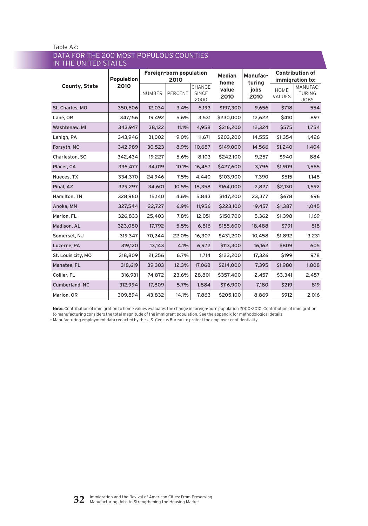| IN THE UNITED STATES |                           |                                 |         |                                |                       |                    |                                           |                                          |  |
|----------------------|---------------------------|---------------------------------|---------|--------------------------------|-----------------------|--------------------|-------------------------------------------|------------------------------------------|--|
| <b>County, State</b> | <b>Population</b><br>2010 | Foreign-born population<br>2010 |         |                                | <b>Median</b><br>home | Manufac-<br>turing | <b>Contribution of</b><br>immigration to: |                                          |  |
|                      |                           | <b>NUMBER</b>                   | PERCENT | CHANGE<br><b>SINCE</b><br>2000 | value<br>2010         | jobs<br>2010       | <b>HOME</b><br>VALUES                     | MANUFAC-<br><b>TURING</b><br><b>JOBS</b> |  |
| St. Charles, MO      | 350,606                   | 12,034                          | 3.4%    | 6,193                          | \$197,300             | 9,656              | \$718                                     | 554                                      |  |
| Lane, OR             | 347,156                   | 19,492                          | 5.6%    | 3,531                          | \$230,000             | 12,622             | \$410                                     | 897                                      |  |
| Washtenaw, MI        | 343,947                   | 38,122                          | 11.1%   | 4,958                          | \$216,200             | 12,324             | \$575                                     | 1,754                                    |  |
| Lehigh, PA           | 343.946                   | 31,002                          | 9.0%    | 11.671                         | \$203,200             | 14,555             | \$1,354                                   | 1,426                                    |  |
| Forsyth, NC          | 342,989                   | 30,523                          | 8.9%    | 10,687                         | \$149,000             | 14,566             | \$1,240                                   | 1,404                                    |  |
| Charleston, SC       | 342,434                   | 19,227                          | 5.6%    | 8,103                          | \$242,100             | 9,257              | \$940                                     | 884                                      |  |
| Placer, CA           | 336,477                   | 34,019                          | 10.1%   | 16,457                         | \$427,600             | 3,796              | \$1,909                                   | 1,565                                    |  |
| Nueces, TX           | 334,370                   | 24,946                          | 7.5%    | 4,440                          | \$103,900             | 7,390              | \$515                                     | 1,148                                    |  |
| Pinal, AZ            | 329,297                   | 34,601                          | 10.5%   | 18,358                         | \$164,000             | 2,827              | \$2,130                                   | 1,592                                    |  |
| Hamilton, TN         | 328,960                   | 15,140                          | 4.6%    | 5,843                          | \$147,200             | 23,377             | \$678                                     | 696                                      |  |
| Anoka, MN            | 327,544                   | 22,727                          | 6.9%    | 11,956                         | \$223,100             | 19,457             | \$1,387                                   | 1,045                                    |  |
| Marion, FL           | 326,833                   | 25,403                          | 7.8%    | 12,051                         | \$150,700             | 5,362              | \$1,398                                   | 1,169                                    |  |
| Madison, AL          | 323,080                   | 17,792                          | 5.5%    | 6,816                          | \$155,600             | 18,488             | \$791                                     | 818                                      |  |
| Somerset, NJ         | 319,347                   | 70,244                          | 22.0%   | 16,307                         | \$431,200             | 10,458             | \$1,892                                   | 3,231                                    |  |
| Luzerne, PA          | 319,120                   | 13,143                          | 4.1%    | 6,972                          | \$113,300             | 16,162             | \$809                                     | 605                                      |  |
| St. Louis city, MO   | 318,809                   | 21,256                          | 6.7%    | 1,714                          | \$122,200             | 17,326             | \$199                                     | 978                                      |  |
| Manatee, FL          | 318,619                   | 39,303                          | 12.3%   | 17,068                         | \$214,000             | 7,395              | \$1,980                                   | 1,808                                    |  |
| Collier, FL          | 316,931                   | 74,872                          | 23.6%   | 28,801                         | \$357,400             | 2,457              | \$3,341                                   | 2,457                                    |  |
| Cumberland, NC       | 312,994                   | 17,809                          | 5.7%    | 1,884                          | \$116,900             | 7,180              | \$219                                     | 819                                      |  |
| Marion, OR           | 309,894                   | 43,832                          | 14.1%   | 7,863                          | \$205,100             | 8,869              | \$912                                     | 2,016                                    |  |

# Data for the 200 most populous counties

**Note:** Contribution of immigration to home values evaluates the change in foreign-born population 2000–2010. Contribution of immigration to manufacturing considers the total magnitude of the immigrant population. See the appendix for methodological details.

\* Manufacturing employment data redacted by the U.S. Census Bureau to protect the employer confidentiality.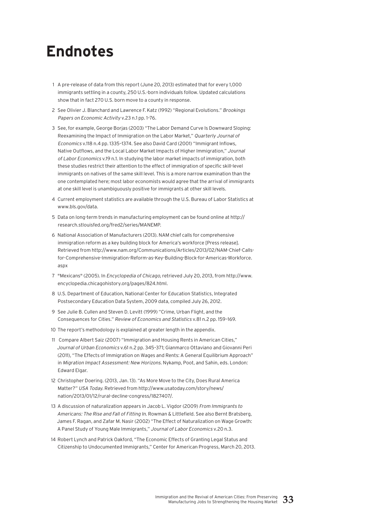# **Endnotes**

- 1 A pre-release of data from this report (June 20, 2013) estimated that for every 1,000 immigrants settling in a county, 250 U.S.-born individuals follow. Updated calculations show that in fact 270 U.S. born move to a county in response.
- 2 See Olivier J. Blanchard and Lawrence F. Katz (1992) "Regional Evolutions." Brookings Papers on Economic Activity v.23 n.1 pp. 1–76.
- 3 See, for example, George Borjas (2003) "The Labor Demand Curve Is Downward Sloping: Reexamining the Impact of Immigration on the Labor Market," Quarterly Journal of Economics v.118 n.4 pp. 1335–1374. See also David Card (2001) "Immigrant Inflows, Native Outflows, and the Local Labor Market Impacts of Higher Immigration," Journal of Labor Economics v.19 n.1. In studying the labor market impacts of immigration, both these studies restrict their attention to the effect of immigration of specific skill-level immigrants on natives of the same skill level. This is a more narrow examination than the one contemplated here; most labor economists would agree that the arrival of immigrants at one skill level is unambiguously positive for immigrants at other skill levels.
- 4 Current employment statistics are available through the U.S. Bureau of Labor Statistics at www.bls.gov/data.
- 5 Data on long-term trends in manufacturing employment can be found online at http:// research.stlouisfed.org/fred2/series/MANEMP.
- 6 National Association of Manufacturers (2013). NAM chief calls for comprehensive immigration reform as a key building block for America's workforce [Press release]. Retrieved from http://www.nam.org/Communications/Articles/2013/02/NAM-Chief-Callsfor-Comprehensive-Immigration-Reform-as-Key-Building-Block-for-Americas-Workforce. aspx
- 7 "Mexicans" (2005). In Encyclopedia of Chicago, retrieved July 20, 2013, from http://www. encyclopedia.chicagohistory.org/pages/824.html.
- 8 U.S. Department of Education, National Center for Education Statistics, Integrated Postsecondary Education Data System, 2009 data, compiled July 26, 2012.
- 9 See Julie B. Cullen and Steven D. Levitt (1999) "Crime, Urban Flight, and the Consequences for Cities." Review of Economics and Statistics v.81 n.2 pp. 159–169.
- 10 The report's methodology is explained at greater length in the appendix.
- 11 Compare Albert Saiz (2007) "Immigration and Housing Rents in American Cities," Journal of Urban Economics v.61 n.2 pp. 345–371; Gianmarco Ottaviano and Giovanni Peri (2011), "The Effects of Immigration on Wages and Rents: A General Equilibrium Approach" in Migration Impact Assessment: New Horizons. Nykamp, Poot, and Sahin, eds. London: Edward Elgar.
- 12 Christopher Doering. (2013, Jan. 13). "As More Move to the City, Does Rural America Matter?" USA Today. Retrieved from http://www.usatoday.com/story/news/ nation/2013/01/12/rural-decline-congress/1827407/.
- 13 A discussion of naturalization appears in Jacob L. Vigdor (2009) From Immigrants to Americans: The Rise and Fall of Fitting In. Rowman & Littlefield. See also Bernt Bratsberg, James F. Ragan, and Zafar M. Nasir (2002) "The Effect of Naturalization on Wage Growth: A Panel Study of Young Male Immigrants," Journal of Labor Economics v.20 n.3.
- 14 Robert Lynch and Patrick Oakford, "The Economic Effects of Granting Legal Status and Citizenship to Undocumented Immigrants," Center for American Progress, March 20, 2013.